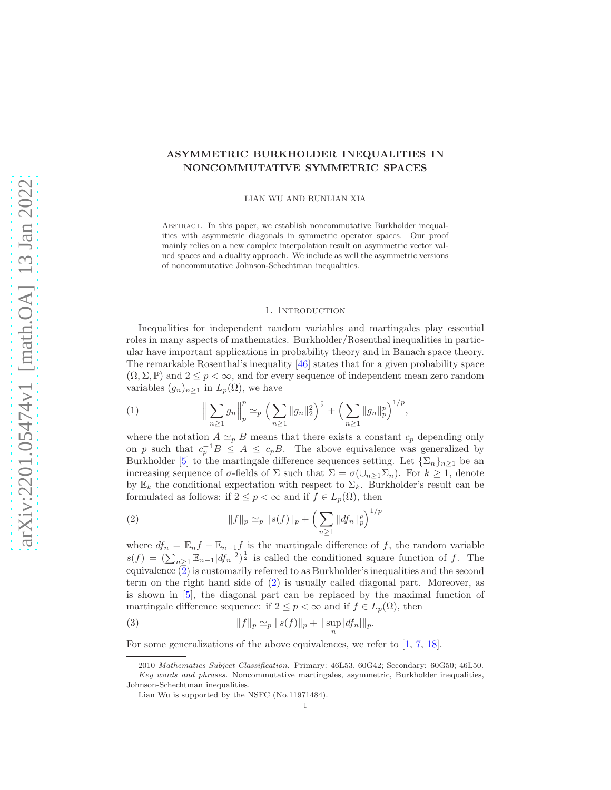# ASYMMETRIC BURKHOLDER INEQUALITIES IN NONCOMMUTATIVE SYMMETRIC SPACES

LIAN WU AND RUNLIAN XIA

Abstract. In this paper, we establish noncommutative Burkholder inequalities with asymmetric diagonals in symmetric operator spaces. Our proof mainly relies on a new complex interpolation result on asymmetric vector valued spaces and a duality approach. We include as well the asymmetric versions of noncommutative Johnson-Schechtman inequalities.

#### 1. INTRODUCTION

Inequalities for independent random variables and martingales play essential roles in many aspects of mathematics. Burkholder/Rosenthal inequalities in particular have important applications in probability theory and in Banach space theory. The remarkable Rosenthal's inequality [\[46\]](#page-29-0) states that for a given probability space  $(\Omega, \Sigma, \mathbb{P})$  and  $2 \leq p < \infty$ , and for every sequence of independent mean zero random variables  $(g_n)_{n\geq 1}$  in  $L_p(\Omega)$ , we have

<span id="page-0-1"></span>(1) 
$$
\Big\|\sum_{n\geq 1} g_n\Big\|_p^p \simeq_p \Big(\sum_{n\geq 1} \|g_n\|_2^2\Big)^{\frac{1}{2}} + \Big(\sum_{n\geq 1} \|g_n\|_p^p\Big)^{1/p},
$$

where the notation  $A \simeq_{p} B$  means that there exists a constant  $c_{p}$  depending only on p such that  $c_p^{-1}B \leq A \leq c_pB$ . The above equivalence was generalized by Burkholder [\[5\]](#page-28-0) to the martingale difference sequences setting. Let  $\{\Sigma_n\}_{n>1}$  be an increasing sequence of  $\sigma$ -fields of  $\Sigma$  such that  $\Sigma = \sigma(\cup_{n>1} \Sigma_n)$ . For  $k \geq 1$ , denote by  $\mathbb{E}_k$  the conditional expectation with respect to  $\Sigma_k$ . Burkholder's result can be formulated as follows: if  $2 \leq p < \infty$  and if  $f \in L_p(\Omega)$ , then

<span id="page-0-0"></span>(2) 
$$
||f||_p \simeq_p ||s(f)||_p + \left(\sum_{n\geq 1} ||df_n||_p^p\right)^{1/p}
$$

where  $df_n = \mathbb{E}_n f - \mathbb{E}_{n-1} f$  is the martingale difference of f, the random variable  $s(f) = (\sum_{n\geq 1} \mathbb{E}_{n-1} |df_n|^2)^{\frac{1}{2}}$  is called the conditioned square function of f. The equivalence  $\overline{2}$ ) is customarily referred to as Burkholder's inequalities and the second term on the right hand side of [\(2\)](#page-0-0) is usually called diagonal part. Moreover, as is shown in [\[5\]](#page-28-0), the diagonal part can be replaced by the maximal function of martingale difference sequence: if  $2 \leq p < \infty$  and if  $f \in L_p(\Omega)$ , then

<span id="page-0-2"></span>(3) 
$$
||f||_p \simeq_p ||s(f)||_p + ||\sup_n |df_n||_p.
$$

For some generalizations of the above equivalences, we refer to [\[1,](#page-28-1) [7,](#page-28-2) [18\]](#page-28-3).

<sup>2010</sup> Mathematics Subject Classification. Primary: 46L53, 60G42; Secondary: 60G50; 46L50. Key words and phrases. Noncommutative martingales, asymmetric, Burkholder inequalities, Johnson-Schechtman inequalities.

Lian Wu is supported by the NSFC (No.11971484).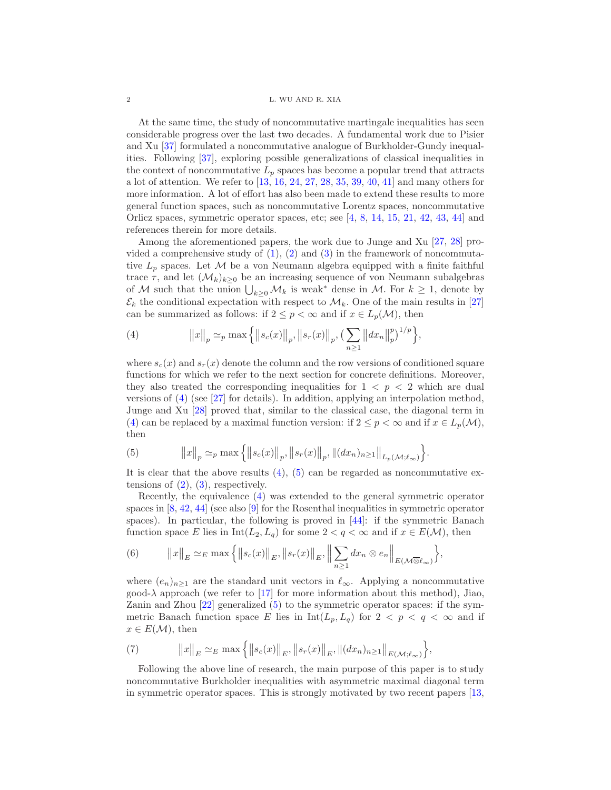#### 2 L. WU AND R. XIA

At the same time, the study of noncommutative martingale inequalities has seen considerable progress over the last two decades. A fundamental work due to Pisier and Xu [\[37\]](#page-29-1) formulated a noncommutative analogue of Burkholder-Gundy inequalities. Following [\[37\]](#page-29-1), exploring possible generalizations of classical inequalities in the context of noncommutative  $L_p$  spaces has become a popular trend that attracts a lot of attention. We refer to [\[13,](#page-28-4) [16,](#page-28-5) [24,](#page-29-2) [27,](#page-29-3) [28,](#page-29-4) [35,](#page-29-5) [39,](#page-29-6) [40,](#page-29-7) [41\]](#page-29-8) and many others for more information. A lot of effort has also been made to extend these results to more general function spaces, such as noncommutative Lorentz spaces, noncommutative Orlicz spaces, symmetric operator spaces, etc; see [\[4,](#page-28-6) [8,](#page-28-7) [14,](#page-28-8) [15,](#page-28-9) [21,](#page-29-9) [42,](#page-29-10) [43,](#page-29-11) [44\]](#page-29-12) and references therein for more details.

Among the aforementioned papers, the work due to Junge and Xu [\[27,](#page-29-3) [28\]](#page-29-4) provided a comprehensive study of  $(1)$ ,  $(2)$  and  $(3)$  in the framework of noncommutative  $L_p$  spaces. Let M be a von Neumann algebra equipped with a finite faithful trace  $\tau$ , and let  $(\mathcal{M}_k)_{k>0}$  be an increasing sequence of von Neumann subalgebras of M such that the union  $\bigcup_{k\geq 0} M_k$  is weak<sup>\*</sup> dense in M. For  $k \geq 1$ , denote by  $\mathcal{E}_k$  the conditional expectation with respect to  $\mathcal{M}_k$ . One of the main results in [\[27\]](#page-29-3) can be summarized as follows: if  $2 \leq p < \infty$  and if  $x \in L_p(\mathcal{M})$ , then

<span id="page-1-0"></span>(4) 
$$
||x||_p \simeq_p \max\left\{||s_c(x)||_p, ||s_r(x)||_p, \left(\sum_{n\geq 1}||dx_n||_p^p\right)^{1/p}\right\},\right\}
$$

where  $s_c(x)$  and  $s_r(x)$  denote the column and the row versions of conditioned square functions for which we refer to the next section for concrete definitions. Moreover, they also treated the corresponding inequalities for  $1 < p < 2$  which are dual versions of [\(4\)](#page-1-0) (see [\[27\]](#page-29-3) for details). In addition, applying an interpolation method, Junge and Xu [\[28\]](#page-29-4) proved that, similar to the classical case, the diagonal term in [\(4\)](#page-1-0) can be replaced by a maximal function version: if  $2 \le p < \infty$  and if  $x \in L_p(\mathcal{M})$ , then

<span id="page-1-1"></span>(5) 
$$
||x||_p \simeq_p \max \left\{ ||s_c(x)||_p, ||s_r(x)||_p, ||(dx_n)_{n \ge 1}||_{L_p(\mathcal{M}; \ell_{\infty})} \right\}.
$$

It is clear that the above results  $(4)$ ,  $(5)$  can be regarded as noncommutative extensions of  $(2)$ ,  $(3)$ , respectively.

Recently, the equivalence [\(4\)](#page-1-0) was extended to the general symmetric operator spaces in  $[8, 42, 44]$  $[8, 42, 44]$  $[8, 42, 44]$  $[8, 42, 44]$  (see also  $[9]$  for the Rosenthal inequalities in symmetric operator spaces). In particular, the following is proved in [\[44\]](#page-29-12): if the symmetric Banach function space E lies in  $Int(L_2, L_q)$  for some  $2 < q < \infty$  and if  $x \in E(\mathcal{M})$ , then

(6) 
$$
||x||_E \simeq_E \max\left\{||s_c(x)||_E, ||s_r(x)||_E, \left\|\sum_{n\geq 1} dx_n \otimes e_n\right\|_{E(\mathcal{M}\overline{\otimes} \ell_\infty)}\right\},\
$$

where  $(e_n)_{n\geq 1}$  are the standard unit vectors in  $\ell_{\infty}$ . Applying a noncommutative good- $\lambda$  approach (we refer to [\[17\]](#page-28-11) for more information about this method), Jiao, Zanin and Zhou [\[22\]](#page-29-13) generalized [\(5\)](#page-1-1) to the symmetric operator spaces: if the symmetric Banach function space E lies in  $Int(L_p, L_q)$  for  $2 < p < q < \infty$  and if  $x \in E(\mathcal{M})$ , then

<span id="page-1-2"></span>(7) 
$$
||x||_E \simeq_E \max\left\{||s_c(x)||_E, ||s_r(x)||_E, ||(dx_n)_{n\geq 1}||_{E(\mathcal{M};\ell_{\infty})}\right\},\,
$$

Following the above line of research, the main purpose of this paper is to study noncommutative Burkholder inequalities with asymmetric maximal diagonal term in symmetric operator spaces. This is strongly motivated by two recent papers [\[13,](#page-28-4)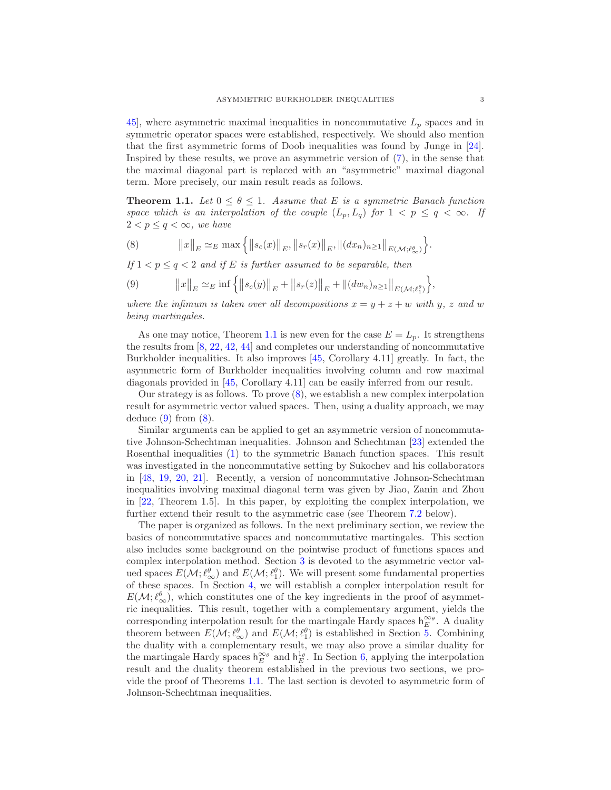45, where asymmetric maximal inequalities in noncommutative  $L_p$  spaces and in symmetric operator spaces were established, respectively. We should also mention that the first asymmetric forms of Doob inequalities was found by Junge in [\[24\]](#page-29-2). Inspired by these results, we prove an asymmetric version of [\(7\)](#page-1-2), in the sense that the maximal diagonal part is replaced with an "asymmetric" maximal diagonal term. More precisely, our main result reads as follows.

<span id="page-2-0"></span>**Theorem 1.1.** Let  $0 \leq \theta \leq 1$ . Assume that E is a symmetric Banach function *space which is an interpolation of the couple*  $(L_p, L_q)$  *for*  $1 < p \le q < \infty$ *. If*  $2 < p \leq q < \infty$ , we have

<span id="page-2-1"></span>(8) 
$$
||x||_E \simeq_E \max\left\{||s_c(x)||_E, ||s_r(x)||_E, ||(dx_n)_{n\geq 1}||_{E(\mathcal{M};\ell_{\infty}^{\theta})}\right\}.
$$

*If*  $1 < p \leq q < 2$  *and if E is further assumed to be separable, then* 

<span id="page-2-2"></span>(9) 
$$
||x||_E \simeq_E \inf \left\{ ||s_c(y)||_E + ||s_r(z)||_E + ||(dw_n)_{n \ge 1}||_{E(\mathcal{M}; \ell_1^{\theta})} \right\},
$$

*where the infimum is taken over all decompositions*  $x = y + z + w$  *with* y, z and w *being martingales.*

As one may notice, Theorem [1.1](#page-2-0) is new even for the case  $E = L_p$ . It strengthens the results from [\[8,](#page-28-7) [22,](#page-29-13) [42,](#page-29-10) [44\]](#page-29-12) and completes our understanding of noncommutative Burkholder inequalities. It also improves [\[45,](#page-29-14) Corollary 4.11] greatly. In fact, the asymmetric form of Burkholder inequalities involving column and row maximal diagonals provided in [\[45,](#page-29-14) Corollary 4.11] can be easily inferred from our result.

Our strategy is as follows. To prove [\(8\)](#page-2-1), we establish a new complex interpolation result for asymmetric vector valued spaces. Then, using a duality approach, we may deduce  $(9)$  from  $(8)$ .

Similar arguments can be applied to get an asymmetric version of noncommutative Johnson-Schechtman inequalities. Johnson and Schechtman [\[23\]](#page-29-15) extended the Rosenthal inequalities [\(1\)](#page-0-1) to the symmetric Banach function spaces. This result was investigated in the noncommutative setting by Sukochev and his collaborators in [\[48,](#page-29-16) [19,](#page-28-12) [20,](#page-29-17) [21\]](#page-29-9). Recently, a version of noncommutative Johnson-Schechtman inequalities involving maximal diagonal term was given by Jiao, Zanin and Zhou in [\[22,](#page-29-13) Theorem 1.5]. In this paper, by exploiting the complex interpolation, we further extend their result to the asymmetric case (see Theorem [7.2](#page-27-0) below).

The paper is organized as follows. In the next preliminary section, we review the basics of noncommutative spaces and noncommutative martingales. This section also includes some background on the pointwise product of functions spaces and complex interpolation method. Section [3](#page-8-0) is devoted to the asymmetric vector valued spaces  $E(\mathcal{M}; \ell_{\infty}^{\theta})$  and  $E(\mathcal{M}; \ell_{1}^{\theta})$ . We will present some fundamental properties of these spaces. In Section [4,](#page-15-0) we will establish a complex interpolation result for  $E(\mathcal{M}; \ell^{\theta}_{\infty})$ , which constitutes one of the key ingredients in the proof of asymmetric inequalities. This result, together with a complementary argument, yields the corresponding interpolation result for the martingale Hardy spaces  $h_E^{\infty_{\theta}}$ . A duality theorem between  $E(\mathcal{M}; \ell_{\infty}^{\theta})$  and  $E(\mathcal{M}; \ell_{1}^{\theta})$  is established in Section [5.](#page-18-0) Combining the duality with a complementary result, we may also prove a similar duality for the martingale Hardy spaces  $h_E^{\infty_{\theta}}$  and  $h_E^{1_{\theta}}$ . In Section [6,](#page-25-0) applying the interpolation result and the duality theorem established in the previous two sections, we provide the proof of Theorems [1.1.](#page-2-0) The last section is devoted to asymmetric form of Johnson-Schechtman inequalities.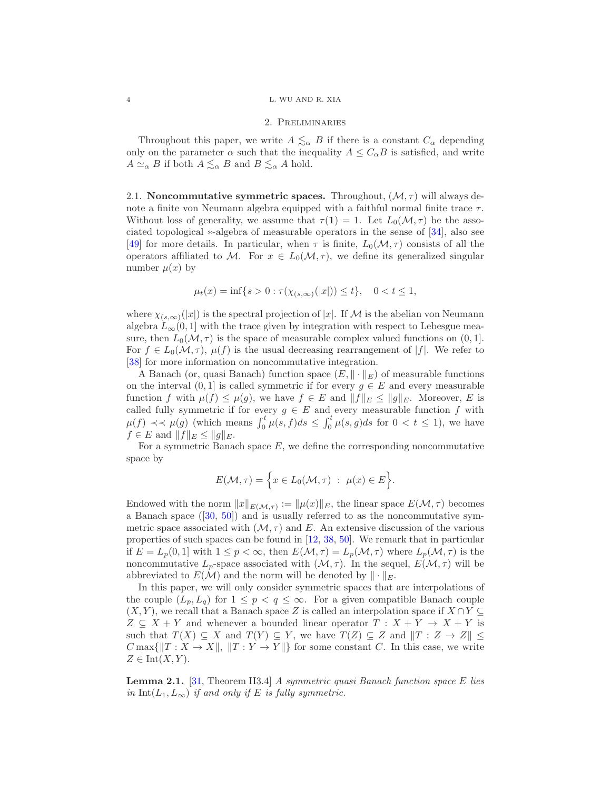### 4 L. WU AND R. XIA

## 2. Preliminaries

Throughout this paper, we write  $A \leq_{\alpha} B$  if there is a constant  $C_{\alpha}$  depending only on the parameter  $\alpha$  such that the inequality  $A \leq C_{\alpha}B$  is satisfied, and write  $A \simeq_{\alpha} B$  if both  $A \lesssim_{\alpha} B$  and  $B \lesssim_{\alpha} A$  hold.

2.1. Noncommutative symmetric spaces. Throughout,  $(M, \tau)$  will always denote a finite von Neumann algebra equipped with a faithful normal finite trace  $\tau$ . Without loss of generality, we assume that  $\tau(1) = 1$ . Let  $L_0(\mathcal{M}, \tau)$  be the associated topological ∗-algebra of measurable operators in the sense of [\[34\]](#page-29-18), also see [\[49\]](#page-30-0) for more details. In particular, when  $\tau$  is finite,  $L_0(\mathcal{M}, \tau)$  consists of all the operators affiliated to M. For  $x \in L_0(\mathcal{M}, \tau)$ , we define its generalized singular number  $\mu(x)$  by

$$
\mu_t(x) = \inf\{s > 0 : \tau(\chi_{(s,\infty)}(|x|)) \le t\}, \quad 0 < t \le 1,
$$

where  $\chi_{(s,\infty)}(|x|)$  is the spectral projection of |x|. If M is the abelian von Neumann algebra  $L_{\infty}(0, 1]$  with the trace given by integration with respect to Lebesgue measure, then  $L_0(\mathcal{M}, \tau)$  is the space of measurable complex valued functions on  $(0, 1]$ . For  $f \in L_0(\mathcal{M}, \tau)$ ,  $\mu(f)$  is the usual decreasing rearrangement of |f|. We refer to [\[38\]](#page-29-19) for more information on noncommutative integration.

A Banach (or, quasi Banach) function space  $(E, \|\cdot\|_E)$  of measurable functions on the interval  $(0, 1]$  is called symmetric if for every  $g \in E$  and every measurable function f with  $\mu(f) \leq \mu(g)$ , we have  $f \in E$  and  $||f||_E \leq ||g||_E$ . Moreover, E is called fully symmetric if for every  $g \in E$  and every measurable function f with  $\mu(f) \prec \prec \mu(g)$  (which means  $\int_0^t \mu(s, f) ds \leq \int_0^t \mu(s, g) ds$  for  $0 < t \leq 1$ ), we have  $f \in E$  and  $||f||_E \leq ||g||_E$ .

For a symmetric Banach space  $E$ , we define the corresponding noncommutative space by

$$
E(\mathcal{M}, \tau) = \Big\{ x \in L_0(\mathcal{M}, \tau) : \mu(x) \in E \Big\}.
$$

Endowed with the norm  $||x||_{E(\mathcal{M},\tau)} := ||\mu(x)||_E$ , the linear space  $E(\mathcal{M},\tau)$  becomes a Banach space ([\[30,](#page-29-20) [50\]](#page-30-1)) and is usually referred to as the noncommutative symmetric space associated with  $(\mathcal{M}, \tau)$  and E. An extensive discussion of the various properties of such spaces can be found in [\[12,](#page-28-13) [38,](#page-29-19) [50\]](#page-30-1). We remark that in particular if  $E = L_p(0, 1]$  with  $1 \le p < \infty$ , then  $E(\mathcal{M}, \tau) = L_p(\mathcal{M}, \tau)$  where  $L_p(\mathcal{M}, \tau)$  is the noncommutative  $L_p$ -space associated with  $(\mathcal{M}, \tau)$ . In the sequel,  $E(\mathcal{M}, \tau)$  will be abbreviated to  $E(\mathcal{M})$  and the norm will be denoted by  $\|\cdot\|_E$ .

In this paper, we will only consider symmetric spaces that are interpolations of the couple  $(L_p, L_q)$  for  $1 \leq p < q \leq \infty$ . For a given compatible Banach couple  $(X, Y)$ , we recall that a Banach space Z is called an interpolation space if  $X \cap Y \subseteq$  $Z \subseteq X + Y$  and whenever a bounded linear operator  $T : X + Y \rightarrow X + Y$  is such that  $T(X) \subseteq X$  and  $T(Y) \subseteq Y$ , we have  $T(Z) \subseteq Z$  and  $||T : Z \to Z|| \le$  $C$  max $\{||T : X \to X||, ||T : Y \to Y||\}$  for some constant C. In this case, we write  $Z \in \text{Int}(X, Y)$ .

<span id="page-3-0"></span>Lemma 2.1. [\[31,](#page-29-21) Theorem II3.4] *A symmetric quasi Banach function space* E *lies in*  $Int(L_1, L_\infty)$  *if and only if* E *is fully symmetric.*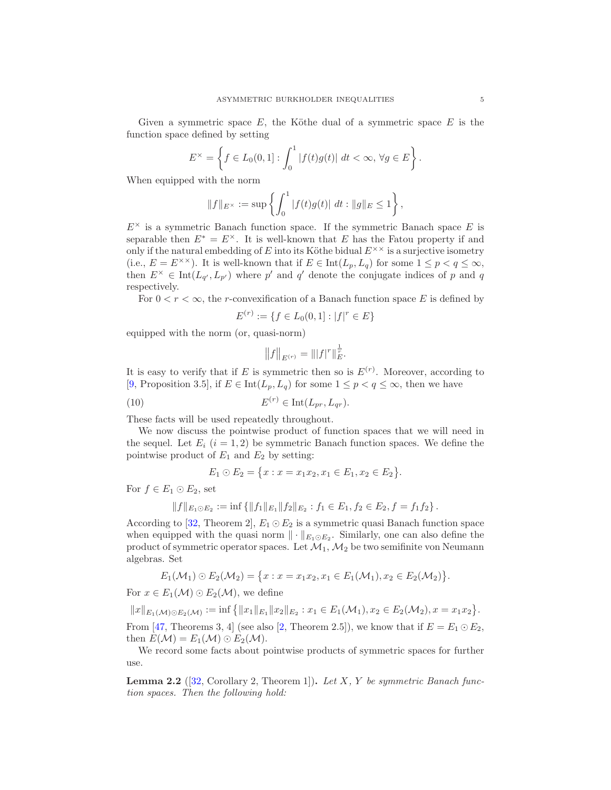Given a symmetric space  $E$ , the Köthe dual of a symmetric space  $E$  is the function space defined by setting

$$
E^{\times} = \left\{ f \in L_0(0,1] : \int_0^1 |f(t)g(t)| dt < \infty, \forall g \in E \right\}.
$$

When equipped with the norm

$$
||f||_{E^{\times}} := \sup \left\{ \int_0^1 |f(t)g(t)| \ dt : ||g||_E \le 1 \right\},\
$$

 $E^{\times}$  is a symmetric Banach function space. If the symmetric Banach space E is separable then  $E^* = E^{\times}$ . It is well-known that E has the Fatou property if and only if the natural embedding of E into its Köthe bidual  $E^{\times \times}$  is a surjective isometry (i.e.,  $E = E^{\times \times}$ ). It is well-known that if  $E \in \text{Int}(L_p, L_q)$  for some  $1 \leq p < q \leq \infty$ , then  $E^{\times} \in \text{Int}(L_{q'}, L_{p'})$  where p' and q' denote the conjugate indices of p and q respectively.

For  $0 < r < \infty$ , the r-convexification of a Banach function space E is defined by

$$
E^{(r)} := \{ f \in L_0(0,1] : |f|^r \in E \}
$$

equipped with the norm (or, quasi-norm)

<span id="page-4-0"></span>
$$
\big\|f\big\|_{E^{(r)}}=\||f|^r\|_E^{\frac{1}{r}}.
$$

It is easy to verify that if E is symmetric then so is  $E^{(r)}$ . Moreover, according to [\[9,](#page-28-10) Proposition 3.5], if  $E \in \text{Int}(L_p, L_q)$  for some  $1 \leq p < q \leq \infty$ , then we have

$$
(10) \t\t\t E(r) \in Int(L_{pr}, L_{qr}).
$$

These facts will be used repeatedly throughout.

We now discuss the pointwise product of function spaces that we will need in the sequel. Let  $E_i$   $(i = 1, 2)$  be symmetric Banach function spaces. We define the pointwise product of  $E_1$  and  $E_2$  by setting:

$$
E_1 \odot E_2 = \{x : x = x_1 x_2, x_1 \in E_1, x_2 \in E_2\}.
$$

For  $f \in E_1 \odot E_2$ , set

$$
||f||_{E_1 \odot E_2} := \inf \{ ||f_1||_{E_1} ||f_2||_{E_2} : f_1 \in E_1, f_2 \in E_2, f = f_1 f_2 \}.
$$

According to [\[32,](#page-29-22) Theorem 2],  $E_1 \odot E_2$  is a symmetric quasi Banach function space when equipped with the quasi norm  $\|\cdot\|_{E_1 \odot E_2}$ . Similarly, one can also define the product of symmetric operator spaces. Let  $\mathcal{M}_1$ ,  $\mathcal{M}_2$  be two semifinite von Neumann algebras. Set

$$
E_1(\mathcal{M}_1) \odot E_2(\mathcal{M}_2) = \{x : x = x_1x_2, x_1 \in E_1(\mathcal{M}_1), x_2 \in E_2(\mathcal{M}_2)\}.
$$

For  $x \in E_1(\mathcal{M}) \odot E_2(\mathcal{M})$ , we define

 $||x||_{E_1(\mathcal{M}) \odot E_2(\mathcal{M})} := \inf \{ ||x_1||_{E_1} ||x_2||_{E_2} : x_1 \in E_1(\mathcal{M}_1), x_2 \in E_2(\mathcal{M}_2), x = x_1x_2 \}.$ From [\[47,](#page-29-23) Theorems 3, 4] (see also [\[2,](#page-28-14) Theorem 2.5]), we know that if  $E = E_1 \odot E_2$ , then  $E(\mathcal{M}) = E_1(\mathcal{M}) \odot E_2(\mathcal{M}).$ 

We record some facts about pointwise products of symmetric spaces for further use.

<span id="page-4-1"></span>Lemma 2.2 ([\[32,](#page-29-22) Corollary 2, Theorem 1]). *Let* X*,* Y *be symmetric Banach function spaces. Then the following hold:*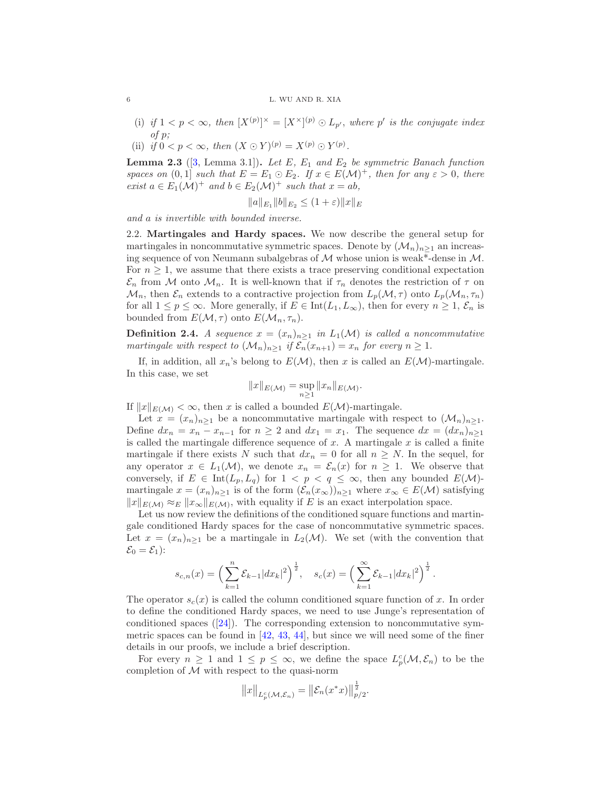- (i) if  $1 < p < \infty$ , then  $[X^{(p)}]^{\times} = [X^{\times}]^{(p)} \odot L_{p'}$ , where p' is the conjugate index *of* p*;*
- (ii) *if*  $0 < p < \infty$ *, then*  $(X \odot Y)^{(p)} = X^{(p)} \odot Y^{(p)}$ *.*

<span id="page-5-0"></span>**Lemma 2.3** ([\[3,](#page-28-15) Lemma 3.1]). Let E,  $E_1$  and  $E_2$  be symmetric Banach function *spaces on*  $(0,1]$  *such that*  $E = E_1 \odot E_2$ *. If*  $x \in E(\mathcal{M})^+$ *, then for any*  $\varepsilon > 0$ *, there exist*  $a \in E_1(\mathcal{M})^+$  *and*  $b \in E_2(\mathcal{M})^+$  *such that*  $x = ab$ *,* 

$$
||a||_{E_1}||b||_{E_2} \le (1+\varepsilon)||x||_E
$$

*and* a *is invertible with bounded inverse.*

2.2. Martingales and Hardy spaces. We now describe the general setup for martingales in noncommutative symmetric spaces. Denote by  $(\mathcal{M}_n)_{n>1}$  an increasing sequence of von Neumann subalgebras of  $\mathcal M$  whose union is weak\*-dense in  $\mathcal M$ . For  $n \geq 1$ , we assume that there exists a trace preserving conditional expectation  $\mathcal{E}_n$  from M onto  $\mathcal{M}_n$ . It is well-known that if  $\tau_n$  denotes the restriction of  $\tau$  on  $\mathcal{M}_n$ , then  $\mathcal{E}_n$  extends to a contractive projection from  $L_p(\mathcal{M}, \tau)$  onto  $L_p(\mathcal{M}_n, \tau_n)$ for all  $1 \le p \le \infty$ . More generally, if  $E \in \text{Int}(L_1, L_\infty)$ , then for every  $n \ge 1$ ,  $\mathcal{E}_n$  is bounded from  $E(\mathcal{M}, \tau)$  onto  $E(\mathcal{M}_n, \tau_n)$ .

**Definition 2.4.** *A sequence*  $x = (x_n)_{n \geq 1}$  *in*  $L_1(\mathcal{M})$  *is called a noncommutative martingale with respect to*  $(\mathcal{M}_n)_{n>1}$  *if*  $\mathcal{E}_n(x_{n+1}) = x_n$  *for every*  $n \geq 1$ .

If, in addition, all  $x_n$ 's belong to  $E(\mathcal{M})$ , then x is called an  $E(\mathcal{M})$ -martingale. In this case, we set

$$
||x||_{E(\mathcal{M})} = \sup_{n \ge 1} ||x_n||_{E(\mathcal{M})}.
$$

If  $||x||_{E(\mathcal{M})} < \infty$ , then x is called a bounded  $E(\mathcal{M})$ -martingale.

Let  $x = (x_n)_{n>1}$  be a noncommutative martingale with respect to  $(\mathcal{M}_n)_{n>1}$ . Define  $dx_n = x_n - x_{n-1}$  for  $n \geq 2$  and  $dx_1 = x_1$ . The sequence  $dx = (dx_n)_{n \geq 1}$ is called the martingale difference sequence of  $x$ . A martingale  $x$  is called a finite martingale if there exists N such that  $dx_n = 0$  for all  $n \geq N$ . In the sequel, for any operator  $x \in L_1(\mathcal{M})$ , we denote  $x_n = \mathcal{E}_n(x)$  for  $n \geq 1$ . We observe that conversely, if  $E \in \text{Int}(L_p, L_q)$  for  $1 < p < q \leq \infty$ , then any bounded  $E(\mathcal{M})$ martingale  $x = (x_n)_{n\geq 1}$  is of the form  $(\mathcal{E}_n(x_\infty))_{n\geq 1}$  where  $x_\infty \in E(\mathcal{M})$  satisfying  $||x||_{E(\mathcal{M})} \approx_E ||x_\infty||_{E(\mathcal{M})}$ , with equality if E is an exact interpolation space.

Let us now review the definitions of the conditioned square functions and martingale conditioned Hardy spaces for the case of noncommutative symmetric spaces. Let  $x = (x_n)_{n>1}$  be a martingale in  $L_2(\mathcal{M})$ . We set (with the convention that  $\mathcal{E}_0 = \mathcal{E}_1$ :

$$
s_{c,n}(x) = \left(\sum_{k=1}^n \mathcal{E}_{k-1} |dx_k|^2\right)^{\frac{1}{2}}, \quad s_c(x) = \left(\sum_{k=1}^\infty \mathcal{E}_{k-1} |dx_k|^2\right)^{\frac{1}{2}}.
$$

The operator  $s_c(x)$  is called the column conditioned square function of x. In order to define the conditioned Hardy spaces, we need to use Junge's representation of conditioned spaces  $([24])$  $([24])$  $([24])$ . The corresponding extension to noncommutative symmetric spaces can be found in  $[42, 43, 44]$  $[42, 43, 44]$  $[42, 43, 44]$  $[42, 43, 44]$ , but since we will need some of the finer details in our proofs, we include a brief description.

For every  $n \geq 1$  and  $1 \leq p \leq \infty$ , we define the space  $L_p^c(\mathcal{M}, \mathcal{E}_n)$  to be the completion of  $M$  with respect to the quasi-norm

$$
||x||_{L_p^c(\mathcal{M}, \mathcal{E}_n)} = ||\mathcal{E}_n(x^*x)||_{p/2}^{\frac{1}{2}}.
$$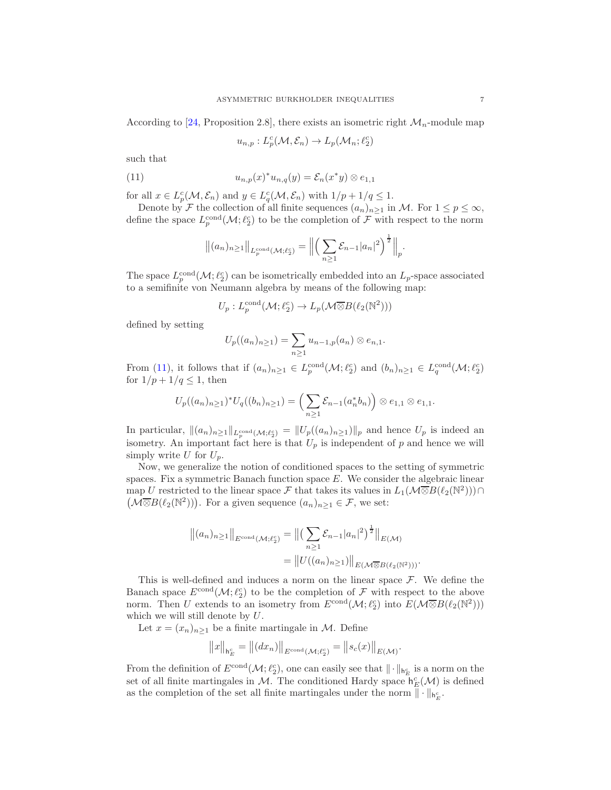According to [\[24,](#page-29-2) Proposition 2.8], there exists an isometric right  $\mathcal{M}_n$ -module map

<span id="page-6-0"></span>
$$
u_{n,p}: L_p^c(\mathcal{M}, \mathcal{E}_n) \to L_p(\mathcal{M}_n; \ell_2^c)
$$

such that

(11) 
$$
u_{n,p}(x)^* u_{n,q}(y) = \mathcal{E}_n(x^*y) \otimes e_{1,1}
$$

for all  $x \in L^c_p(\mathcal{M}, \mathcal{E}_n)$  and  $y \in L^c_q(\mathcal{M}, \mathcal{E}_n)$  with  $1/p + 1/q \leq 1$ .

Denote by F the collection of all finite sequences  $(a_n)_{n\geq 1}$  in M. For  $1 \leq p \leq \infty$ , define the space  $L_p^{\text{cond}}(\mathcal{M}; \ell_2^c)$  to be the completion of  $\mathcal F$  with respect to the norm

$$
\|(a_n)_{n\geq 1}\|_{L_p^{\text{cond}}(\mathcal{M};\ell_2^c)} = \left\| \left( \sum_{n\geq 1} \mathcal{E}_{n-1} |a_n|^2 \right)^{\frac{1}{2}} \right\|_p.
$$

The space  $L_p^{\text{cond}}(\mathcal{M}; \ell_2^c)$  can be isometrically embedded into an  $L_p$ -space associated to a semifinite von Neumann algebra by means of the following map:

$$
U_p: L_p^{\text{cond}}(\mathcal{M}; \ell_2^c) \to L_p(\mathcal{M} \overline{\otimes} B(\ell_2(\mathbb{N}^2)))
$$

defined by setting

$$
U_p((a_n)_{n\geq 1})=\sum_{n\geq 1}u_{n-1,p}(a_n)\otimes e_{n,1}.
$$

From [\(11\)](#page-6-0), it follows that if  $(a_n)_{n\geq 1} \in L_p^{\text{cond}}(\mathcal{M}; \ell_2^c)$  and  $(b_n)_{n\geq 1} \in L_q^{\text{cond}}(\mathcal{M}; \ell_2^c)$ for  $1/p + 1/q \leq 1$ , then

$$
U_p((a_n)_{n\geq 1})^*U_q((b_n)_{n\geq 1})=\left(\sum_{n\geq 1}\mathcal{E}_{n-1}(a_n^*b_n)\right)\otimes e_{1,1}\otimes e_{1,1}.
$$

In particular,  $\|(a_n)_{n\geq 1}\|_{L_p^{\text{cond}}(\mathcal{M};\ell_2^c)} = \|U_p((a_n)_{n\geq 1})\|_p$  and hence  $U_p$  is indeed an isometry. An important fact here is that  $U_p$  is independent of p and hence we will simply write U for  $U_p$ .

Now, we generalize the notion of conditioned spaces to the setting of symmetric spaces. Fix a symmetric Banach function space  $E$ . We consider the algebraic linear map U restricted to the linear space F that takes its values in  $L_1(\mathcal{M} \overline{\otimes} B(\ell_2(\mathbb{N}^2))) \cap$  $(M\overline{\otimes}B(\ell_2(\mathbb{N}^2)))$ . For a given sequence  $(a_n)_{n\geq 1} \in \mathcal{F}$ , we set:

$$
||(a_n)_{n\geq 1}||_{E^{\text{cond}}(\mathcal{M};\ell_2^c)} = ||(\sum_{n\geq 1} \mathcal{E}_{n-1}|a_n|^2)^{\frac{1}{2}}||_{E(\mathcal{M})}
$$
  
= 
$$
||U((a_n)_{n\geq 1})||_{E(\mathcal{M}\overline{\otimes}B(\ell_2(\mathbb{N}^2)))}
$$

This is well-defined and induces a norm on the linear space  $\mathcal{F}$ . We define the Banach space  $E^{\text{cond}}(\mathcal{M}; \ell_2^c)$  to be the completion of  $\mathcal F$  with respect to the above norm. Then U extends to an isometry from  $E^{\text{cond}}(\mathcal{M}; \ell_2^c)$  into  $E(\mathcal{M} \overline{\otimes} B(\ell_2(\mathbb{N}^2)))$ which we will still denote by U.

Let  $x = (x_n)_{n \geq 1}$  be a finite martingale in M. Define

$$
\big\|x\big\|_{\mathbf{h}^c_E}=\big\|(dx_n)\big\|_{E^{\mathrm{cond}}(\mathcal{M};\ell_2^c)}=\big\|s_c(x)\big\|_{E(\mathcal{M})}
$$

.

From the definition of  $E^{\text{cond}}(\mathcal{M}; \ell_2^c)$ , one can easily see that  $\|\cdot\|_{\mathsf{h}_E^c}$  is a norm on the set of all finite martingales in M. The conditioned Hardy space  $h_E^c(M)$  is defined as the completion of the set all finite martingales under the norm  $\|\cdot\|_{\mathsf{h}_E^c}$ .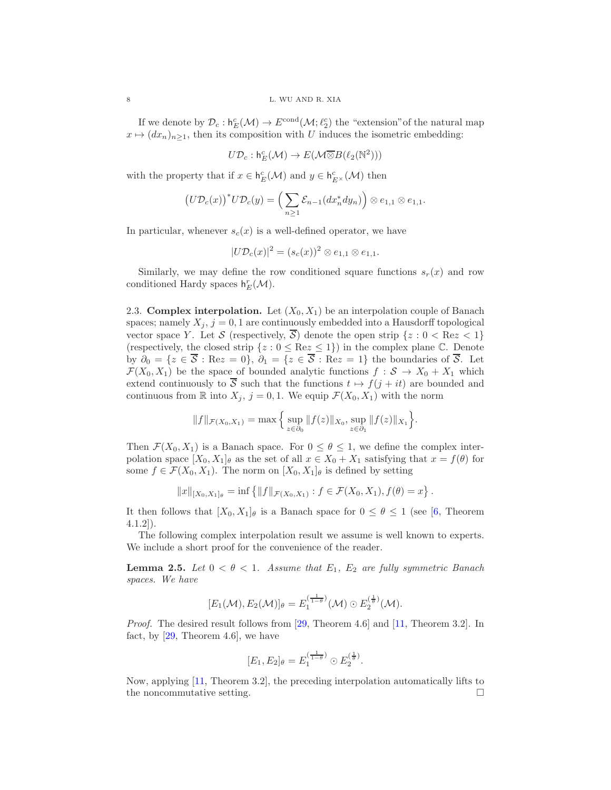If we denote by  $\mathcal{D}_c: \mathsf{h}_E^c(\mathcal{M}) \to E^{\text{cond}}(\mathcal{M}; \ell_2^c)$  the "extension" of the natural map  $x \mapsto (dx_n)_{n\geq 1}$ , then its composition with U induces the isometric embedding:

$$
U\mathcal{D}_c: \mathsf{h}_E^c(\mathcal{M}) \to E(\mathcal{M} \overline{\otimes} B(\ell_2(\mathbb{N}^2)))
$$

with the property that if  $x \in \mathsf{h}_{E}^{c}(\mathcal{M})$  and  $y \in \mathsf{h}_{E^{\times}}^{c}(\mathcal{M})$  then

$$
\big(U\mathcal{D}_c(x)\big)^* U\mathcal{D}_c(y) = \Big(\sum_{n\geq 1} \mathcal{E}_{n-1}(dx_n^* dy_n)\Big) \otimes e_{1,1} \otimes e_{1,1}.
$$

In particular, whenever  $s_c(x)$  is a well-defined operator, we have

$$
|U\mathcal{D}_c(x)|^2 = (s_c(x))^2 \otimes e_{1,1} \otimes e_{1,1}.
$$

Similarly, we may define the row conditioned square functions  $s_r(x)$  and row conditioned Hardy spaces  $h_E^r(\mathcal{M})$ .

2.3. Complex interpolation. Let  $(X_0, X_1)$  be an interpolation couple of Banach spaces; namely  $X_j$ ,  $j = 0, 1$  are continuously embedded into a Hausdorff topological vector space Y. Let S (respectively,  $\overline{S}$ ) denote the open strip  $\{z : 0 < \text{Re} z < 1\}$ (respectively, the closed strip  $\{z : 0 \leq \text{Re} z \leq 1\}$ ) in the complex plane C. Denote by  $\partial_0 = \{z \in \overline{S} : \text{Re}z = 0\}, \ \partial_1 = \{z \in \overline{S} : \text{Re}z = 1\}$  the boundaries of  $\overline{S}$ . Let  $\mathcal{F}(X_0, X_1)$  be the space of bounded analytic functions  $f : \mathcal{S} \to X_0 + X_1$  which extend continuously to  $\overline{S}$  such that the functions  $t \mapsto f(j + it)$  are bounded and continuous from  $\mathbb R$  into  $X_j$ ,  $j = 0, 1$ . We equip  $\mathcal F(X_0, X_1)$  with the norm

$$
||f||_{\mathcal{F}(X_0,X_1)} = \max \Big\{ \sup_{z \in \partial_0} ||f(z)||_{X_0}, \sup_{z \in \partial_1} ||f(z)||_{X_1} \Big\}.
$$

Then  $\mathcal{F}(X_0, X_1)$  is a Banach space. For  $0 \le \theta \le 1$ , we define the complex interpolation space  $[X_0, X_1]_\theta$  as the set of all  $x \in X_0 + X_1$  satisfying that  $x = f(\theta)$  for some  $f \in \mathcal{F}(X_0, X_1)$ . The norm on  $[X_0, X_1]_\theta$  is defined by setting

$$
||x||_{[X_0,X_1]_\theta} = \inf \{ ||f||_{\mathcal{F}(X_0,X_1)} : f \in \mathcal{F}(X_0,X_1), f(\theta) = x \}.
$$

It then follows that  $[X_0, X_1]_\theta$  is a Banach space for  $0 \le \theta \le 1$  (see [\[6,](#page-28-16) Theorem 4.1.2]).

The following complex interpolation result we assume is well known to experts. We include a short proof for the convenience of the reader.

<span id="page-7-0"></span>**Lemma 2.5.** *Let*  $0 < \theta < 1$ *. Assume that*  $E_1$ *,*  $E_2$  *are fully symmetric Banach spaces. We have*

$$
[E_1(\mathcal{M}), E_2(\mathcal{M})]_\theta = E_1^{(\frac{1}{1-\theta})}(\mathcal{M}) \odot E_2^{(\frac{1}{\theta})}(\mathcal{M}).
$$

*Proof.* The desired result follows from [\[29,](#page-29-24) Theorem 4.6] and [\[11,](#page-28-17) Theorem 3.2]. In fact, by  $[29,$  Theorem 4.6, we have

$$
[E_1, E_2]_{\theta} = E_1^{(\frac{1}{1-\theta})} \odot E_2^{(\frac{1}{\theta})}.
$$

Now, applying [\[11,](#page-28-17) Theorem 3.2], the preceding interpolation automatically lifts to the noncommutative setting.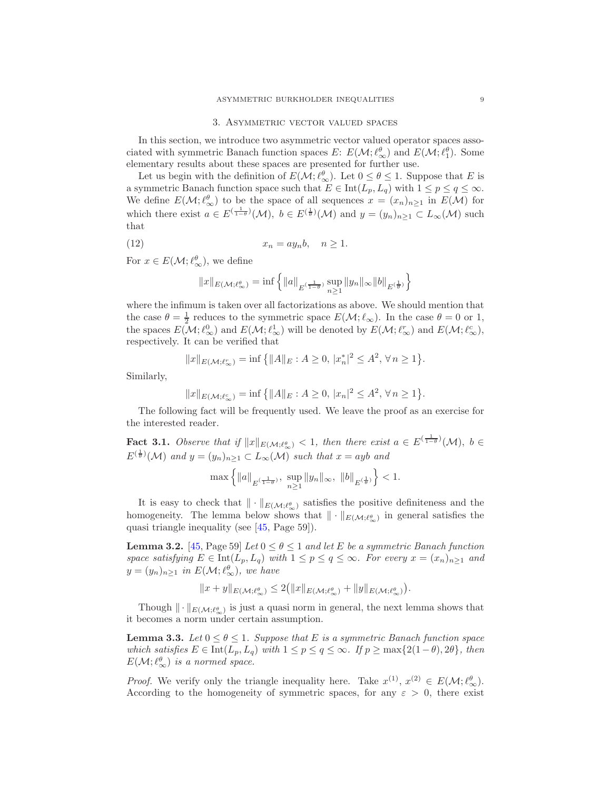#### 3. Asymmetric vector valued spaces

<span id="page-8-0"></span>In this section, we introduce two asymmetric vector valued operator spaces associated with symmetric Banach function spaces  $E: E(\mathcal{M}; \ell_{\infty}^{\theta})$  and  $E(\mathcal{M}; \ell_1^{\theta})$ . Some elementary results about these spaces are presented for further use.

Let us begin with the definition of  $E(\mathcal{M}; \ell^{\theta}_{\infty})$ . Let  $0 \leq \theta \leq 1$ . Suppose that E is a symmetric Banach function space such that  $E \in \text{Int}(L_p, L_q)$  with  $1 \leq p \leq q \leq \infty$ . We define  $E(\mathcal{M}; \ell_{\infty}^{\theta})$  to be the space of all sequences  $x = (x_n)_{n \geq 1}$  in  $E(\mathcal{M})$  for which there exist  $a \in E\left(\frac{1}{1-\theta}\right)(\mathcal{M})$ ,  $b \in E\left(\frac{1}{\theta}\right)(\mathcal{M})$  and  $y = (y_n)_{n \geq 1} \subset L_{\infty}(\mathcal{M})$  such that

$$
(12) \t\t x_n = ay_n b, \quad n \ge 1.
$$

For  $x \in E(\mathcal{M}; \ell_{\infty}^{\theta})$ , we define

<span id="page-8-3"></span>
$$
\|x\|_{E(\mathcal M; \ell_\infty^\theta)}=\inf\Big\{\|a\|_{E^{(\frac{1}{1-\theta})}}\sup_{n\geq 1}\|y_n\|_\infty\|b\|_{E^{(\frac{1}{\theta})}}\Big\}
$$

where the infimum is taken over all factorizations as above. We should mention that the case  $\theta = \frac{1}{2}$  reduces to the symmetric space  $E(\mathcal{M}; \ell_{\infty})$ . In the case  $\theta = 0$  or 1, the spaces  $E(\mathcal{M}; \ell_{\infty}^{0})$  and  $E(\mathcal{M}; \ell_{\infty}^{1})$  will be denoted by  $E(\mathcal{M}; \ell_{\infty}^{r})$  and  $E(\mathcal{M}; \ell_{\infty}^{c})$ , respectively. It can be verified that

$$
||x||_{E(\mathcal{M};\ell_{\infty}^{r})} = \inf \{||A||_{E} : A \geq 0, |x_{n}^{*}|^{2} \leq A^{2}, \forall n \geq 1\}.
$$

Similarly,

$$
||x||_{E(\mathcal{M};\ell_{\infty}^{c})} = \inf \{||A||_{E}: A \geq 0, |x_{n}|^{2} \leq A^{2}, \forall n \geq 1\}
$$

The following fact will be frequently used. We leave the proof as an exercise for the interested reader.

<span id="page-8-2"></span>Fact 3.1. *Observe that if*  $||x||_{E(\mathcal{M}; \ell_{\infty}^{\theta})} < 1$ , then there exist  $a \in E^{(\frac{1}{1-\theta})}(\mathcal{M})$ ,  $b \in$  $E^{(\frac{1}{\theta})}(\mathcal{M})$  and  $y = (y_n)_{n \geq 1} \subset L_{\infty}(\mathcal{M})$  such that  $x = ayb$  and

$$
\max\Big\{\|a\|_{E^{(\frac{1}{1-\theta})}},\;\sup_{n\geq 1}\|y_n\|_\infty,\;\|b\|_{E^{(\frac{1}{\theta})}}\Big\}<1.
$$

It is easy to check that  $\|\cdot\|_{E(\mathcal{M};\ell^{\theta}_{\infty})}$  satisfies the positive definiteness and the homogeneity. The lemma below shows that  $\|\cdot\|_{E(\mathcal{M}; \ell^{\theta}_{\infty})}$  in general satisfies the quasi triangle inequality (see [\[45,](#page-29-14) Page 59]).

**Lemma 3.2.** [\[45,](#page-29-14) Page 59] Let  $0 \le \theta \le 1$  and let E be a symmetric Banach function *space satisfying*  $E \in \text{Int}(L_p, L_q)$  *with*  $1 \leq p \leq q \leq \infty$ *. For every*  $x = (x_n)_{n \geq 1}$  *and*  $y = (y_n)_{n \geq 1}$  in  $E(\mathcal{M}; \ell_{\infty}^{\theta}),$  we have

$$
||x+y||_{E(\mathcal M; \ell_\infty^\theta)} \leq 2\big(||x||_{E(\mathcal M; \ell_\infty^\theta)}+||y||_{E(\mathcal M; \ell_\infty^\theta)}\big).
$$

Though  $\|\cdot\|_{E(\mathcal{M};\ell^{\theta}_{\infty})}$  is just a quasi norm in general, the next lemma shows that it becomes a norm under certain assumption.

<span id="page-8-1"></span>**Lemma 3.3.** Let  $0 \le \theta \le 1$ . Suppose that E is a symmetric Banach function space *which satisfies*  $E \in \text{Int}(L_p, L_q)$  *with*  $1 \leq p \leq q \leq \infty$ *. If*  $p \geq \max\{2(1-\theta), 2\theta\}$ *, then*  $E(\mathcal{M}; \ell_{\infty}^{\theta})$  *is a normed space.* 

*Proof.* We verify only the triangle inequality here. Take  $x^{(1)}$ ,  $x^{(2)} \in E(\mathcal{M}; \ell_{\infty}^{\theta})$ . According to the homogeneity of symmetric spaces, for any  $\varepsilon > 0$ , there exist

.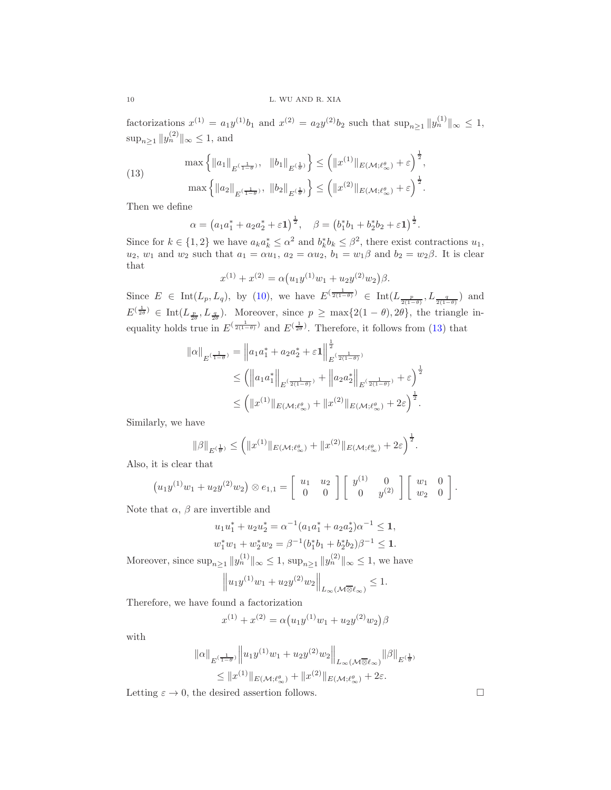factorizations  $x^{(1)} = a_1 y^{(1)} b_1$  and  $x^{(2)} = a_2 y^{(2)} b_2$  such that  $\sup_{n \ge 1} ||y_n^{(1)}||_{\infty} \le 1$ ,  $\sup_{n\geq 1} \|y_n^{(2)}\|_{\infty} \leq 1$ , and

<span id="page-9-0"></span>(13) 
$$
\max \left\{ ||a_1||_{E^{(\frac{1}{1-\theta})}}, ||b_1||_{E^{(\frac{1}{\theta})}} \right\} \le (||x^{(1)}||_{E(\mathcal{M}; \ell_{\infty}^{\theta})} + \varepsilon)^{\frac{1}{2}},
$$

$$
\max \left\{ ||a_2||_{E^{(\frac{1}{1-\theta})}}, ||b_2||_{E^{(\frac{1}{\theta})}} \right\} \le (||x^{(2)}||_{E(\mathcal{M}; \ell_{\infty}^{\theta})} + \varepsilon)^{\frac{1}{2}}.
$$

Then we define

$$
\alpha = (a_1a_1^* + a_2a_2^* + \varepsilon \mathbf{1})^{\frac{1}{2}}, \quad \beta = (b_1^*b_1 + b_2^*b_2 + \varepsilon \mathbf{1})^{\frac{1}{2}}.
$$

Since for  $k \in \{1,2\}$  we have  $a_k a_k^* \leq \alpha^2$  and  $b_k^* b_k \leq \beta^2$ , there exist contractions  $u_1$ ,  $u_2, w_1$  and  $w_2$  such that  $a_1 = \alpha u_1, a_2 = \alpha u_2, b_1 = w_1 \beta$  and  $b_2 = w_2 \beta$ . It is clear that

$$
x^{(1)} + x^{(2)} = \alpha (u_1 y^{(1)} w_1 + u_2 y^{(2)} w_2) \beta.
$$

Since  $E \in \text{Int}(L_p, L_q)$ , by [\(10\)](#page-4-0), we have  $E^{(\frac{1}{2(1-\theta)})} \in \text{Int}(L_{\frac{p}{2(1-\theta)}}, L_{\frac{q}{2(1-\theta)}})$  and  $E^{(\frac{1}{2\theta})} \in \text{Int}(L_{\frac{p}{2\theta}}, L_{\frac{q}{2\theta}}).$  Moreover, since  $p \ge \max\{2(1-\theta), 2\theta\}$ , the triangle inequality holds true in  $E^{(\frac{1}{2(1-\theta)})}$  and  $E^{(\frac{1}{2\theta})}$ . Therefore, it follows from [\(13\)](#page-9-0) that

$$
\| \alpha \|_{E^{(\frac{1}{1-\theta})}} = \| a_1 a_1^* + a_2 a_2^* + \varepsilon \mathbf{1} \|_{E^{(\frac{1}{2(1-\theta)})}}^{\frac{1}{2}} \n\leq ( \| a_1 a_1^* \|_{E^{(\frac{1}{2(1-\theta)})}} + \| a_2 a_2^* \|_{E^{(\frac{1}{2(1-\theta)})}} + \varepsilon \right)^{\frac{1}{2}} \n\leq ( \| x^{(1)} \|_{E(\mathcal{M}; \ell_\infty^{\theta})} + \| x^{(2)} \|_{E(\mathcal{M}; \ell_\infty^{\theta})} + 2\varepsilon \right)^{\frac{1}{2}}.
$$

Similarly, we have

$$
\|\beta\|_{E^{(\frac{1}{\theta})}} \leq \left( \|x^{(1)}\|_{E(\mathcal{M};\ell^{\theta}_{\infty})} + \|x^{(2)}\|_{E(\mathcal{M};\ell^{\theta}_{\infty})} + 2\varepsilon \right)^{\frac{1}{2}}.
$$

Also, it is clear that

$$
(u_1y^{(1)}w_1 + u_2y^{(2)}w_2) \otimes e_{1,1} = \begin{bmatrix} u_1 & u_2 \\ 0 & 0 \end{bmatrix} \begin{bmatrix} y^{(1)} & 0 \\ 0 & y^{(2)} \end{bmatrix} \begin{bmatrix} w_1 & 0 \\ w_2 & 0 \end{bmatrix}.
$$

Note that  $\alpha$ ,  $\beta$  are invertible and

$$
u_1u_1^* + u_2u_2^* = \alpha^{-1}(a_1a_1^* + a_2a_2^*)\alpha^{-1} \le 1,
$$
  

$$
w_1^*w_1 + w_2^*w_2 = \beta^{-1}(b_1^*b_1 + b_2^*b_2)\beta^{-1} \le 1.
$$

Moreover, since  $\sup_{n\geq 1} ||y_n^{(1)}||_{\infty} \leq 1$ ,  $\sup_{n\geq 1} ||y_n^{(2)}||_{\infty} \leq 1$ , we have

$$
\left\| u_1 y^{(1)} w_1 + u_2 y^{(2)} w_2 \right\|_{L_\infty(\mathcal{M}\overline{\otimes} \ell_\infty)} \le 1.
$$

Therefore, we have found a factorization

$$
x^{(1)} + x^{(2)} = \alpha (u_1 y^{(1)} w_1 + u_2 y^{(2)} w_2) \beta
$$

with

$$
\|\alpha\|_{E^{(\frac{1}{1-\theta})}} \left\| u_1 y^{(1)} w_1 + u_2 y^{(2)} w_2 \right\|_{L_\infty(\mathcal{M}\overline{\otimes} \ell_\infty)} \|\beta\|_{E^{(\frac{1}{\theta})}} \leq \|x^{(1)}\|_{E(\mathcal{M};\ell_\infty^{\theta})} + \|x^{(2)}\|_{E(\mathcal{M};\ell_\infty^{\theta})} + 2\varepsilon.
$$

Letting  $\varepsilon \to 0$ , the desired assertion follows.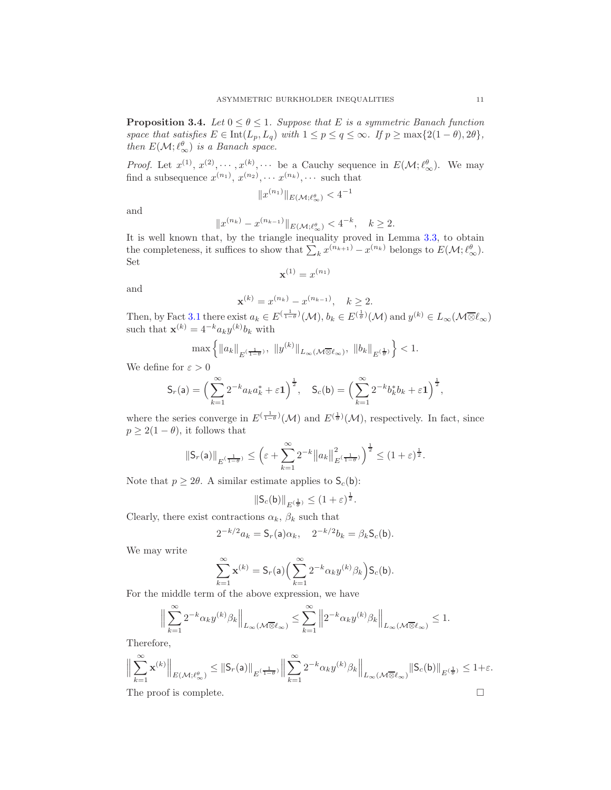<span id="page-10-0"></span>**Proposition 3.4.** *Let*  $0 \le \theta \le 1$ *. Suppose that E is a symmetric Banach function space that satisfies*  $E \in \text{Int}(L_p, L_q)$  *with*  $1 \leq p \leq q \leq \infty$ *. If*  $p \geq \max\{2(1-\theta), 2\theta\}$ *, then*  $E(\mathcal{M}; \ell_{\infty}^{\theta})$  *is a Banach space.* 

*Proof.* Let  $x^{(1)}, x^{(2)}, \dots, x^{(k)}, \dots$  be a Cauchy sequence in  $E(\mathcal{M}; \ell_{\infty}^{\theta})$ . We may find a subsequence  $x^{(n_1)}$ ,  $x^{(n_2)}$ ,  $\cdots$   $x^{(n_k)}$ ,  $\cdots$  such that

$$
||x^{(n_1)}||_{E(\mathcal{M}; \ell_\infty^{\theta})} < 4^{-1}
$$

and

$$
||x^{(n_k)} - x^{(n_{k-1})}||_{E(\mathcal{M}; \ell_{\infty}^{\theta})} < 4^{-k}, \quad k \ge 2.
$$

It is well known that, by the triangle inequality proved in Lemma [3.3,](#page-8-1) to obtain the completeness, it suffices to show that  $\sum_k x^{(n_{k+1})} - x^{(n_k)}$  belongs to  $E(\mathcal{M}; \ell_{\infty}^{\theta})$ . Set

$$
\mathbf{x}^{(1)} = x^{(n_1)}
$$

and

$$
\mathbf{x}^{(k)} = x^{(n_k)} - x^{(n_{k-1})}, \quad k \ge 2.
$$

Then, by Fact [3.1](#page-8-2) there exist  $a_k \in E^{\left(\frac{1}{1-\theta}\right)}(\mathcal{M})$ ,  $b_k \in E^{\left(\frac{1}{\theta}\right)}(\mathcal{M})$  and  $y^{(k)} \in L_\infty(\mathcal{M} \overline{\otimes} \ell_\infty)$ such that  $\mathbf{x}^{(k)} = 4^{-k} a_k y^{(k)} b_k$  with

$$
\max\left\{\|a_k\|_{E^{(\frac{1}{1-\theta})}},\;\|y^{(k)}\|_{L_\infty(\mathcal{M}\overline{\otimes} \ell_\infty)},\;\|b_k\|_{E^{(\frac{1}{\theta})}}\right\}<1.
$$

We define for  $\varepsilon > 0$ 

$$
\mathsf{S}_r(\mathsf{a}) = \Big(\sum_{k=1}^{\infty} 2^{-k} a_k a_k^* + \varepsilon \mathbf{1}\Big)^{\frac{1}{2}}, \quad \mathsf{S}_c(\mathsf{b}) = \Big(\sum_{k=1}^{\infty} 2^{-k} b_k^* b_k + \varepsilon \mathbf{1}\Big)^{\frac{1}{2}},
$$

where the series converge in  $E^{(\frac{1}{1-\theta})}(\mathcal{M})$  and  $E^{(\frac{1}{\theta})}(\mathcal{M})$ , respectively. In fact, since  $p \geq 2(1-\theta)$ , it follows that

$$
\|\mathsf S_r(\mathsf a)\|_{E^{(\frac{1}{1-\theta})}}\leq \Big(\varepsilon+\sum_{k=1}^\infty 2^{-k}\big\|a_k\big\|_{E^{(\frac{1}{1-\theta})}}^2\Big)^{\frac12}\leq (1+\varepsilon)^{\frac12}.
$$

Note that  $p \geq 2\theta$ . A similar estimate applies to  $\mathsf{S}_c(\mathsf{b})$ :

$$
\|\mathsf{S}_c(\mathsf{b})\|_{E^{(\frac{1}{\theta})}} \leq (1+\varepsilon)^{\frac{1}{2}}.
$$

Clearly, there exist contractions  $\alpha_k$ ,  $\beta_k$  such that

$$
2^{-k/2}a_k = S_r(a)\alpha_k, \quad 2^{-k/2}b_k = \beta_k S_c(b).
$$

We may write

$$
\sum_{k=1}^{\infty} \mathbf{x}^{(k)} = \mathsf{S}_r(\mathsf{a}) \Big( \sum_{k=1}^{\infty} 2^{-k} \alpha_k y^{(k)} \beta_k \Big) \mathsf{S}_c(\mathsf{b}).
$$

For the middle term of the above expression, we have

$$
\Big\|\sum_{k=1}^{\infty}2^{-k}\alpha_ky^{(k)}\beta_k\Big\|_{L_{\infty}(\mathcal{M}\overline{\otimes} \ell_{\infty})}\leq \sum_{k=1}^{\infty}\Big\|2^{-k}\alpha_ky^{(k)}\beta_k\Big\|_{L_{\infty}(\mathcal{M}\overline{\otimes} \ell_{\infty})}\leq 1.
$$

Therefore,

$$
\Big\|\sum_{k=1}^{\infty}\mathbf{x}^{(k)}\Big\|_{E(\mathcal M; \ell_\infty^\theta)}\leq \|\mathsf S_r(\mathsf a)\|_{E^{(\frac{1}{1-\theta})}}\Big\|\sum_{k=1}^{\infty}2^{-k}\alpha_ky^{(k)}\beta_k\Big\|_{L_\infty(\mathcal M\overline\otimes \ell_\infty)}\|\mathsf S_c(\mathsf b)\|_{E^{(\frac{1}{\theta})}}\leq 1+\varepsilon.
$$

The proof is complete.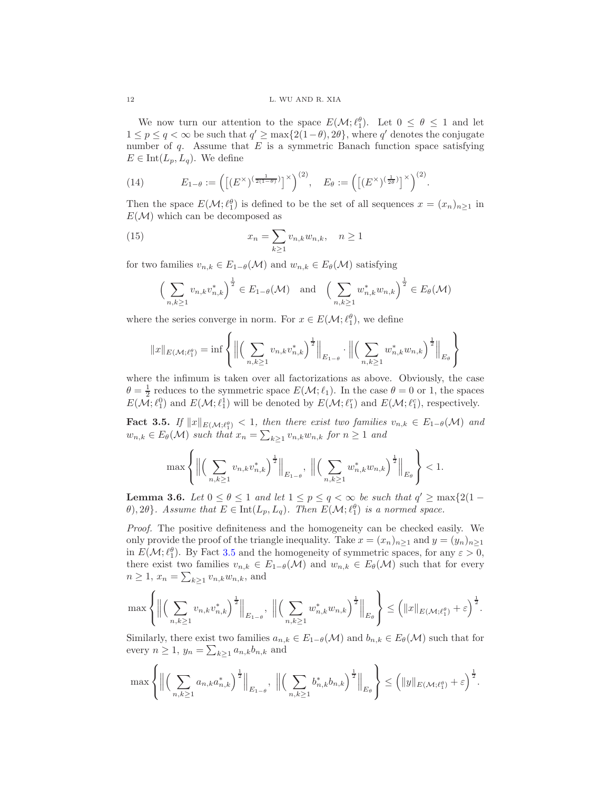We now turn our attention to the space  $E(\mathcal{M}; \ell_1^{\theta})$ . Let  $0 \le \theta \le 1$  and let  $1 \leq p \leq q < \infty$  be such that  $q' \geq \max\{2(1-\theta), 2\theta\}$ , where q' denotes the conjugate number of  $q$ . Assume that  $E$  is a symmetric Banach function space satisfying  $E \in \text{Int}(L_p, L_q)$ . We define

(14) 
$$
E_{1-\theta} := \left( \left[ (E^{\times})^{\left(\frac{1}{2(1-\theta)}\right)} \right]^{\times} \right)^{(2)}, \quad E_{\theta} := \left( \left[ (E^{\times})^{\left(\frac{1}{2\theta}\right)} \right]^{\times} \right)^{(2)}.
$$

Then the space  $E(\mathcal{M}; \ell_1^{\theta})$  is defined to be the set of all sequences  $x = (x_n)_{n \geq 1}$  in  $E(\mathcal{M})$  which can be decomposed as

(15) 
$$
x_n = \sum_{k\geq 1} v_{n,k} w_{n,k}, \quad n \geq 1
$$

for two families  $v_{n,k} \in E_{1-\theta}(\mathcal{M})$  and  $w_{n,k} \in E_{\theta}(\mathcal{M})$  satisfying

<span id="page-11-2"></span>
$$
\left(\sum_{n,k\geq 1} v_{n,k} v_{n,k}^*\right)^{\frac{1}{2}} \in E_{1-\theta}(\mathcal{M}) \text{ and } \left(\sum_{n,k\geq 1} w_{n,k}^* w_{n,k}\right)^{\frac{1}{2}} \in E_{\theta}(\mathcal{M})
$$

where the series converge in norm. For  $x \in E(\mathcal{M}; \ell_1^{\theta})$ , we define

$$
||x||_{E(\mathcal{M}; \ell_1^{\theta})} = \inf \left\{ \Big\| \Big( \sum_{n,k \geq 1} v_{n,k} v_{n,k}^* \Big)^{\frac{1}{2}} \Big\|_{E_{1-\theta}} \cdot \Big\| \Big( \sum_{n,k \geq 1} w_{n,k}^* w_{n,k} \Big)^{\frac{1}{2}} \Big\|_{E_{\theta}} \right\}
$$

where the infimum is taken over all factorizations as above. Obviously, the case  $\theta = \frac{1}{2}$  reduces to the symmetric space  $E(\mathcal{M}; \ell_1)$ . In the case  $\theta = 0$  or 1, the spaces  $E(\mathcal{M}; \ell_1^0)$  and  $E(\mathcal{M}; \ell_1^1)$  will be denoted by  $E(\mathcal{M}; \ell_1^r)$  and  $E(\mathcal{M}; \ell_1^c)$ , respectively.

<span id="page-11-0"></span>Fact 3.5. If  $||x||_{E(\mathcal{M};\ell_1^{\theta})} < 1$ , then there exist two families  $v_{n,k} \in E_{1-\theta}(\mathcal{M})$  and  $w_{n,k} \in E_{\theta}(\mathcal{M})$  such that  $x_n = \sum_{k \geq 1} v_{n,k} w_{n,k}$  for  $n \geq 1$  and

$$
\max \left\{ \Big\| \Big( \sum_{n,k \geq 1} v_{n,k} v_{n,k}^* \Big)^{\frac 1 2} \Big\|_{E_{1-\theta}}, \; \Big\| \Big( \sum_{n,k \geq 1} w_{n,k}^* w_{n,k} \Big)^{\frac 1 2} \Big\|_{E_{\theta}} \right\} < 1.
$$

<span id="page-11-1"></span>**Lemma 3.6.** *Let*  $0 \le \theta \le 1$  *and let*  $1 \le p \le q < \infty$  *be such that*  $q' \ge \max\{2(1-q)\}$  $\theta$ , 2 $\theta$ }. Assume that  $E \in \text{Int}(L_p, L_q)$ . Then  $E(\mathcal{M}; \ell_1^{\theta})$  is a normed space.

*Proof.* The positive definiteness and the homogeneity can be checked easily. We only provide the proof of the triangle inequality. Take  $x = (x_n)_{n>1}$  and  $y = (y_n)_{n>1}$ in  $E(\mathcal{M}; \ell_1^{\theta})$ . By Fact [3.5](#page-11-0) and the homogeneity of symmetric spaces, for any  $\varepsilon > 0$ , there exist two families  $v_{n,k} \in E_{1-\theta}(\mathcal{M})$  and  $w_{n,k} \in E_{\theta}(\mathcal{M})$  such that for every  $n \geq 1, x_n = \sum_{k \geq 1} v_{n,k} w_{n,k}$ , and

$$
\max \left\{ \Big\| \Big( \sum_{n,k\geq 1} v_{n,k} v_{n,k}^* \Big)^{\frac 1 2} \Big\|_{E_{1-\theta}}, \, \, \Big\| \Big( \sum_{n,k\geq 1} w_{n,k}^* w_{n,k} \Big)^{\frac 1 2} \Big\|_{E_{\theta}} \right\} \leq \Big( \|x\|_{E(\mathcal M; \ell_1^\theta)} + \varepsilon \Big)^{\frac 1 2}.
$$

Similarly, there exist two families  $a_{n,k} \in E_{1-\theta}(\mathcal{M})$  and  $b_{n,k} \in E_{\theta}(\mathcal{M})$  such that for every  $n \geq 1$ ,  $y_n = \sum_{k \geq 1} a_{n,k} b_{n,k}$  and

$$
\max\left\{\Big\|\Big(\sum_{n,k\geq 1}a_{n,k}a_{n,k}^*\Big)^{\frac 12}\Big\|_{E_{1-\theta}},\,\, \Big\|\Big(\sum_{n,k\geq 1}b_{n,k}^*b_{n,k}\Big)^{\frac 12}\Big\|_{E_{\theta}}\right\}\leq \Big(\|y\|_{E(\mathcal M; \ell_1^\theta)}+\varepsilon\Big)^{\frac 12}.
$$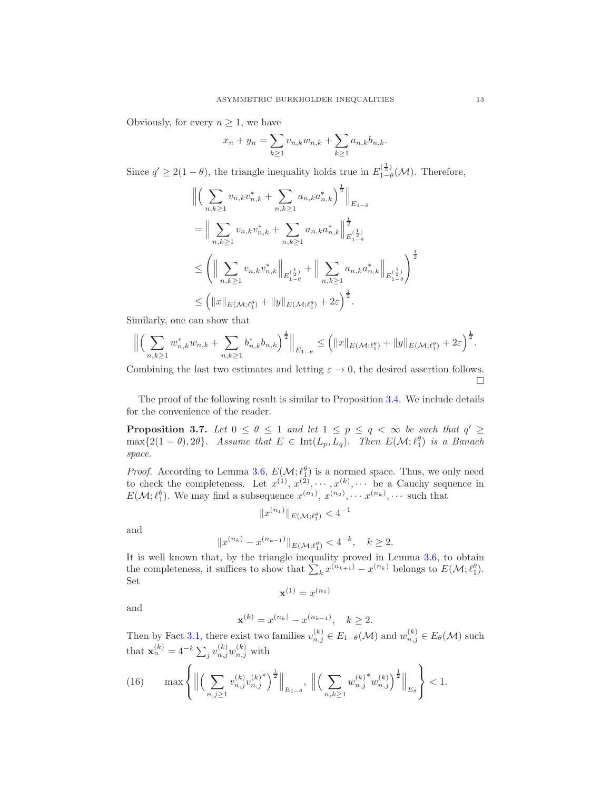Obviously, for every  $n \geq 1$ , we have

$$
x_n + y_n = \sum_{k \ge 1} v_{n,k} w_{n,k} + \sum_{k \ge 1} a_{n,k} b_{n,k}.
$$

Since  $q' \geq 2(1-\theta)$ , the triangle inequality holds true in  $E_{1-\theta}^{(\frac{1}{2})}$  $\prod_{1-\theta}^{(\frac{1}{2})}$  (*M*). Therefore,

$$
\begin{split}\n&\left\| \left( \sum_{n,k\geq 1} v_{n,k} v_{n,k}^* + \sum_{n,k\geq 1} a_{n,k} a_{n,k}^* \right)^{\frac{1}{2}} \right\|_{E_{1-\theta}} \\
&= \Big\| \sum_{n,k\geq 1} v_{n,k} v_{n,k}^* + \sum_{n,k\geq 1} a_{n,k} a_{n,k}^* \Big\|_{E_{1-\theta}^{(\frac{1}{2})}}^{\frac{1}{2}} \\
&\leq \left( \Big\| \sum_{n,k\geq 1} v_{n,k} v_{n,k}^* \Big\|_{E_{1-\theta}^{(\frac{1}{2})}} + \Big\| \sum_{n,k\geq 1} a_{n,k} a_{n,k}^* \Big\|_{E_{1-\theta}^{(\frac{1}{2})}} \right)^{\frac{1}{2}} \\
&\leq \left( \Vert x \Vert_{E(\mathcal{M};\ell_1^{\theta})} + \Vert y \Vert_{E(\mathcal{M};\ell_1^{\theta})} + 2\varepsilon \right)^{\frac{1}{2}}.\n\end{split}
$$

Similarly, one can show that

$$
\left\| \left( \sum_{n,k\geq 1} w_{n,k}^* w_{n,k} + \sum_{n,k\geq 1} b_{n,k}^* b_{n,k} \right)^{\frac{1}{2}} \right\|_{E_{1-\theta}} \leq \left( \|x\|_{E(\mathcal{M};\ell_1^{\theta})} + \|y\|_{E(\mathcal{M};\ell_1^{\theta})} + 2\varepsilon \right)^{\frac{1}{2}}.
$$

Combining the last two estimates and letting  $\varepsilon \to 0$ , the desired assertion follows.  $\Box$ 

The proof of the following result is similar to Proposition [3.4.](#page-10-0) We include details for the convenience of the reader.

**Proposition 3.7.** Let  $0 \le \theta \le 1$  and let  $1 \le p \le q < \infty$  be such that  $q' \ge$  $\max\{2(1-\theta), 2\theta\}$ *.* Assume that  $E \in \text{Int}(L_p, L_q)$ *. Then*  $E(\mathcal{M}; \ell_1^{\theta})$  is a Banach *space.*

*Proof.* According to Lemma [3.6,](#page-11-1)  $E(\mathcal{M}; \ell_1^{\theta})$  is a normed space. Thus, we only need to check the completeness. Let  $x^{(1)}, x^{(2)}, \dots, x^{(k)}, \dots$  be a Cauchy sequence in  $E(\mathcal{M}; \ell_1^{\theta})$ . We may find a subsequence  $x^{(n_1)}, x^{(n_2)}, \cdots, x^{(n_k)}, \cdots$  such that

$$
||x^{(n_1)}||_{E(\mathcal{M}; \ell_1^{\theta})} < 4^{-1}
$$

and

$$
||x^{(n_k)} - x^{(n_{k-1})}||_{E(\mathcal{M}; \ell_1^{\theta})} < 4^{-k}, \quad k \ge 2.
$$

It is well known that, by the triangle inequality proved in Lemma [3.6,](#page-11-1) to obtain the completeness, it suffices to show that  $\sum_k x^{(n_{k+1})} - x^{(n_k)}$  belongs to  $E(\mathcal{M}; \ell_1^{\theta})$ . Set

$$
\mathbf{x}^{(1)} = x^{(n_1)}
$$

and

$$
\mathbf{x}^{(k)} = x^{(n_k)} - x^{(n_{k-1})}, \quad k \ge 2.
$$

Then by Fact [3.1,](#page-8-2) there exist two families  $v_{n,j}^{(k)} \in E_{1-\theta}(\mathcal{M})$  and  $w_{n,j}^{(k)} \in E_{\theta}(\mathcal{M})$  such that  $\mathbf{x}_n^{(k)} = 4^{-k} \sum_j v_{n,j}^{(k)} w_{n,j}^{(k)}$  with

<span id="page-12-0"></span>(16) 
$$
\max \left\{ \Big\| \Big( \sum_{n,j \geq 1} v_{n,j}^{(k)} v_{n,j}^{(k)^*} \Big)^{\frac{1}{2}} \Big\|_{E_{1-\theta}}, \, \, \Big\| \Big( \sum_{n,k \geq 1} w_{n,j}^{(k)^*} w_{n,j}^{(k)} \Big)^{\frac{1}{2}} \Big\|_{E_{\theta}} \right\} < 1.
$$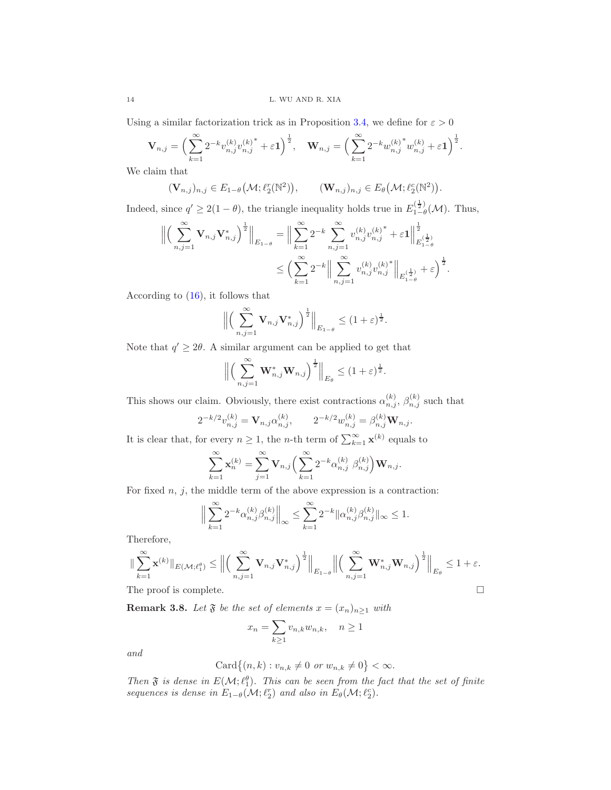Using a similar factorization trick as in Proposition [3.4,](#page-10-0) we define for  $\varepsilon > 0$ 

$$
\mathbf{V}_{n,j} = \left(\sum_{k=1}^{\infty} 2^{-k} v_{n,j}^{(k)} v_{n,j}^{(k)^{*}} + \varepsilon \mathbf{1}\right)^{\frac{1}{2}}, \quad \mathbf{W}_{n,j} = \left(\sum_{k=1}^{\infty} 2^{-k} w_{n,j}^{(k)^{*}} w_{n,j}^{(k)} + \varepsilon \mathbf{1}\right)^{\frac{1}{2}}.
$$

We claim that

$$
(\mathbf{V}_{n,j})_{n,j} \in E_{1-\theta}(\mathcal{M}; \ell_2^r(\mathbb{N}^2)), \qquad (\mathbf{W}_{n,j})_{n,j} \in E_{\theta}(\mathcal{M}; \ell_2^c(\mathbb{N}^2)).
$$

Indeed, since  $q' \geq 2(1-\theta)$ , the triangle inequality holds true in  $E_{1-\theta}^{(\frac{1}{2})}$  $\int_{1-\theta}^{\sqrt{2}} (\mathcal{M})$ . Thus,

$$
\left\| \left( \sum_{n,j=1}^{\infty} \mathbf{V}_{n,j} \mathbf{V}_{n,j}^* \right)^{\frac{1}{2}} \right\|_{E_{1-\theta}} = \left\| \sum_{k=1}^{\infty} 2^{-k} \sum_{n,j=1}^{\infty} v_{n,j}^{(k)} v_{n,j}^{(k)^*} + \varepsilon \mathbf{1} \right\|_{E_{1-\theta}^{(\frac{1}{2})}}^{\frac{1}{2}} \n\leq \left( \sum_{k=1}^{\infty} 2^{-k} \left\| \sum_{n,j=1}^{\infty} v_{n,j}^{(k)} v_{n,j}^{(k)^*} \right\|_{E_{1-\theta}^{(\frac{1}{2})}} + \varepsilon \right)^{\frac{1}{2}}.
$$

According to [\(16\)](#page-12-0), it follows that

$$
\left\| \left( \sum_{n,j=1}^{\infty} \mathbf{V}_{n,j} \mathbf{V}_{n,j}^* \right)^{\frac{1}{2}} \right\|_{E_{1-\theta}} \leq (1+\varepsilon)^{\frac{1}{2}}.
$$

Note that  $q' \geq 2\theta$ . A similar argument can be applied to get that

$$
\left\| \left( \sum_{n,j=1}^{\infty} \mathbf{W}_{n,j}^* \mathbf{W}_{n,j} \right)^{\frac{1}{2}} \right\|_{E_{\theta}} \leq (1+\varepsilon)^{\frac{1}{2}}.
$$

This shows our claim. Obviously, there exist contractions  $\alpha_{n,j}^{(k)}$ ,  $\beta_{n,j}^{(k)}$  such that

$$
2^{-k/2}v_{n,j}^{(k)} = \mathbf{V}_{n,j}\alpha_{n,j}^{(k)}, \qquad 2^{-k/2}w_{n,j}^{(k)} = \beta_{n,j}^{(k)}\mathbf{W}_{n,j}.
$$

It is clear that, for every  $n \geq 1$ , the *n*-th term of  $\sum_{k=1}^{\infty} \mathbf{x}^{(k)}$  equals to

$$
\sum_{k=1}^{\infty} \mathbf{x}_n^{(k)} = \sum_{j=1}^{\infty} \mathbf{V}_{n,j} \left( \sum_{k=1}^{\infty} 2^{-k} \alpha_{n,j}^{(k)} \beta_{n,j}^{(k)} \right) \mathbf{W}_{n,j}.
$$

For fixed  $n, j$ , the middle term of the above expression is a contraction:

$$
\Big\|\sum_{k=1}^{\infty} 2^{-k} \alpha_{n,j}^{(k)} \beta_{n,j}^{(k)}\Big\|_{\infty} \le \sum_{k=1}^{\infty} 2^{-k} \|\alpha_{n,j}^{(k)} \beta_{n,j}^{(k)}\|_{\infty} \le 1.
$$

Therefore,

$$
\|\sum_{k=1}^{\infty} \mathbf{x}^{(k)}\|_{E(\mathcal{M};\ell_1^{\theta})} \le \Big\|\Big(\sum_{n,j=1}^{\infty} \mathbf{V}_{n,j} \mathbf{V}_{n,j}^*\Big)^{\frac{1}{2}}\Big\|_{E_{1-\theta}} \Big\|\Big(\sum_{n,j=1}^{\infty} \mathbf{W}_{n,j}^* \mathbf{W}_{n,j}\Big)^{\frac{1}{2}}\Big\|_{E_{\theta}} \le 1 + \varepsilon.
$$
  
The proof is complete.

<span id="page-13-0"></span>**Remark 3.8.** Let  $\mathfrak{F}$  be the set of elements  $x = (x_n)_{n \geq 1}$  with

$$
x_n = \sum_{k \ge 1} v_{n,k} w_{n,k}, \quad n \ge 1
$$

*and*

$$
Card\{(n,k): v_{n,k}\neq 0 \text{ or } w_{n,k}\neq 0\}<\infty.
$$

*Then*  $\mathfrak F$  *is dense in*  $E(\mathcal{M}; \ell_1^{\theta})$ *. This can be seen from the fact that the set of finite sequences is dense in*  $E_{1-\theta}(\mathcal{M}; \ell_2^r)$  *and also in*  $E_{\theta}(\mathcal{M}; \ell_2^c)$ *.*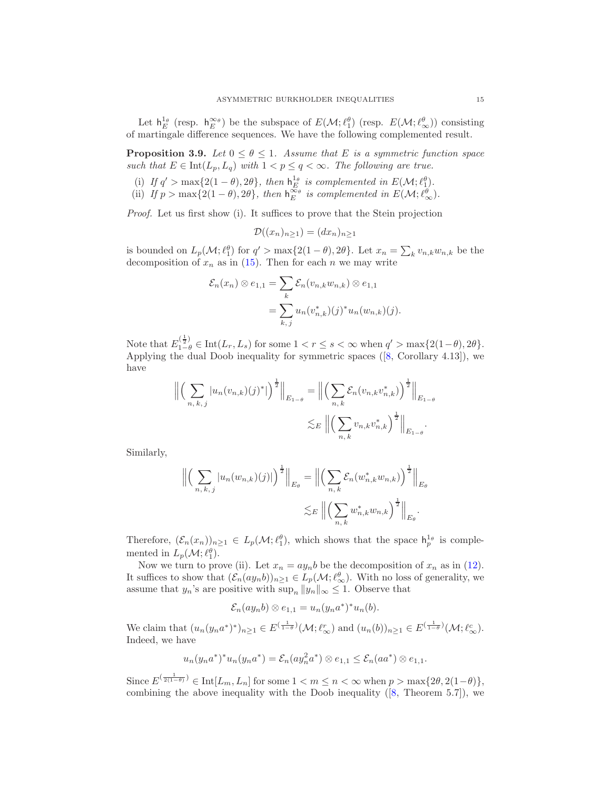Let  $h_E^{1_\theta}$  (resp.  $h_E^{\infty_\theta}$ ) be the subspace of  $E(\mathcal{M}; \ell_1^\theta)$  (resp.  $E(\mathcal{M}; \ell_\infty^\theta)$ ) consisting of martingale difference sequences. We have the following complemented result.

<span id="page-14-0"></span>**Proposition 3.9.** *Let*  $0 \le \theta \le 1$ *. Assume that E is a symmetric function space such that*  $E \in \text{Int}(L_p, L_q)$  *with*  $1 < p \le q < \infty$ *. The following are true.* 

- (i) If  $q' > \max\{2(1-\theta), 2\theta\}$ , then  $h_E^{1_\theta}$  is complemented in  $E(\mathcal{M}; \ell_1^{\theta})$ .
- (ii) If  $p > \max\{2(1-\theta), 2\theta\}$ , then  $h_E^{\infty_{\theta}}$  is complemented in  $E(\mathcal{M}; \ell_{\infty}^{\theta})$ .

*Proof.* Let us first show (i). It suffices to prove that the Stein projection

$$
\mathcal{D}((x_n)_{n\geq 1})=(dx_n)_{n\geq 1}
$$

is bounded on  $L_p(\mathcal{M}; \ell_1^{\theta})$  for  $q' > \max\{2(1-\theta), 2\theta\}$ . Let  $x_n = \sum_k v_{n,k} w_{n,k}$  be the decomposition of  $x_n$  as in [\(15\)](#page-11-2). Then for each n we may write

$$
\mathcal{E}_n(x_n) \otimes e_{1,1} = \sum_k \mathcal{E}_n(v_{n,k}w_{n,k}) \otimes e_{1,1}
$$
  
= 
$$
\sum_{k,j} u_n(v_{n,k}^*)(j)^* u_n(w_{n,k})(j).
$$

Note that  $E_{1-\theta}^{(\frac{1}{2})} \in \text{Int}(L_r, L_s)$  for some  $1 < r \leq s < \infty$  when  $q' > \max\{2(1-\theta), 2\theta\}.$ Applying the dual Doob inequality for symmetric spaces  $([8, Corollary 4.13])$  $([8, Corollary 4.13])$  $([8, Corollary 4.13])$ , we have

$$
\left\| \left( \sum_{n,k,j} |u_n(v_{n,k})(j)^*| \right)^{\frac{1}{2}} \right\|_{E_{1-\theta}} = \left\| \left( \sum_{n,k} \mathcal{E}_n(v_{n,k} v_{n,k}^*) \right)^{\frac{1}{2}} \right\|_{E_{1-\theta}} \leq E \left\| \left( \sum_{n,k} v_{n,k} v_{n,k}^* \right)^{\frac{1}{2}} \right\|_{E_{1-\theta}}.
$$

Similarly,

$$
\left\| \left( \sum_{n,k,j} |u_n(w_{n,k})(j)| \right)^{\frac{1}{2}} \right\|_{E_{\theta}} = \left\| \left( \sum_{n,k} \mathcal{E}_n(w_{n,k}^* w_{n,k}) \right)^{\frac{1}{2}} \right\|_{E_{\theta}}
$$
  

$$
\lesssim_E \left\| \left( \sum_{n,k} w_{n,k}^* w_{n,k} \right)^{\frac{1}{2}} \right\|_{E_{\theta}}.
$$

Therefore,  $(\mathcal{E}_n(x_n))_{n\geq 1} \in L_p(\mathcal{M}; \ell_1^{\theta})$ , which shows that the space  $h_p^{1_{\theta}}$  is complemented in  $L_p(\mathcal{M}; \ell_1^{\theta})$ .

Now we turn to prove (ii). Let  $x_n = ay_nb$  be the decomposition of  $x_n$  as in [\(12\)](#page-8-3). It suffices to show that  $(\mathcal{E}_n(ay_nb))_{n\geq 1} \in L_p(\mathcal{M}; \ell_{\infty}^{\theta})$ . With no loss of generality, we assume that  $y_n$ 's are positive with  $\sup_n ||y_n||_{\infty} \leq 1$ . Observe that

$$
\mathcal{E}_n(ay_nb)\otimes e_{1,1}=u_n(y_na^*)^*u_n(b).
$$

We claim that  $(u_n(y_na^*)^*)_n \geq 1 \in E^{(\frac{1}{1-\theta})}(\mathcal{M}; \ell_{\infty}^r)$  and  $(u_n(b))_{n \geq 1} \in E^{(\frac{1}{1-\theta})}(\mathcal{M}; \ell_{\infty}^c)$ . Indeed, we have

$$
u_n(y_na^*)^*u_n(y_na^*) = \mathcal{E}_n(ay_n^2a^*) \otimes e_{1,1} \le \mathcal{E}_n(aa^*) \otimes e_{1,1}.
$$

Since  $E^{(\frac{1}{2(1-\theta)})} \in \text{Int}[L_m, L_n]$  for some  $1 < m \leq n < \infty$  when  $p > \max\{2\theta, 2(1-\theta)\},$ combining the above inequality with the Doob inequality ([\[8,](#page-28-7) Theorem 5.7]), we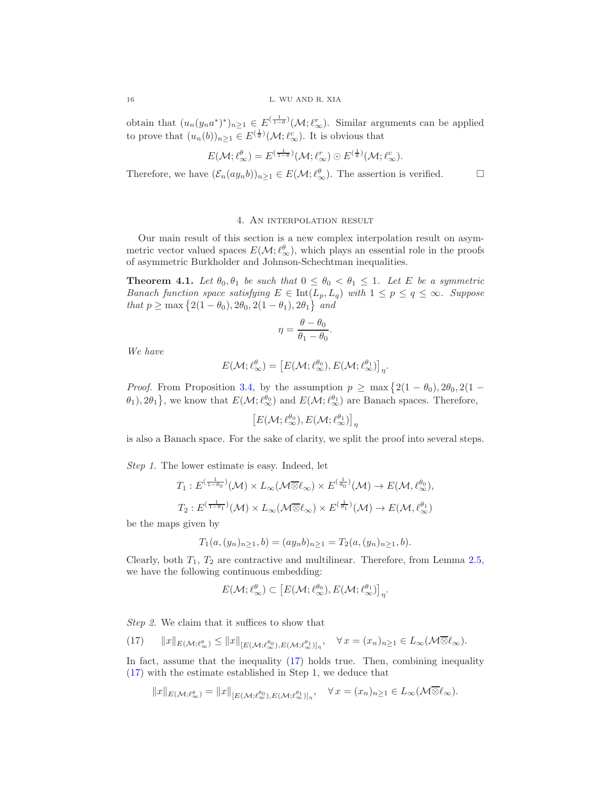obtain that  $(u_n(y_na^*)^*)_{n\geq 1} \in E^{(\frac{1}{1-\theta})}(\mathcal{M}; \ell_{\infty}^r)$ . Similar arguments can be applied to prove that  $(u_n(b))_{n\geq 1} \in E^{(\frac{1}{\theta})}(\mathcal{M}; \ell_{\infty}^c)$ . It is obvious that

$$
E(\mathcal{M}; \ell_\infty^{\theta}) = E^{(\frac{1}{1-\theta})}(\mathcal{M}; \ell_\infty^r) \odot E^{(\frac{1}{\theta})}(\mathcal{M}; \ell_\infty^c).
$$

Therefore, we have  $(\mathcal{E}_n(ay_nb))_{n\geq 1} \in E(\mathcal{M}; \ell_{\infty}^{\theta})$ . The assertion is verified.  $\square$ 

## 4. An interpolation result

<span id="page-15-0"></span>Our main result of this section is a new complex interpolation result on asymmetric vector valued spaces  $E(\mathcal{M}; \ell_{\infty}^{\theta})$ , which plays an essential role in the proofs of asymmetric Burkholder and Johnson-Schechtman inequalities.

<span id="page-15-2"></span>**Theorem 4.1.** Let  $\theta_0$ ,  $\theta_1$  be such that  $0 \le \theta_0 < \theta_1 \le 1$ . Let E be a symmetric *Banach function space satisfying*  $E \in \text{Int}(L_p, L_q)$  *with*  $1 \leq p \leq q \leq \infty$ *. Suppose that*  $p \ge \max\{2(1-\theta_0), 2\theta_0, 2(1-\theta_1), 2\theta_1\}$  *and* 

$$
\eta = \frac{\theta - \theta_0}{\theta_1 - \theta_0}.
$$

*We have*

$$
E(\mathcal{M}; \ell_{\infty}^{\theta}) = \left[ E(\mathcal{M}; \ell_{\infty}^{\theta_0}), E(\mathcal{M}; \ell_{\infty}^{\theta_1}) \right]_{\eta}.
$$

*Proof.* From Proposition [3.4,](#page-10-0) by the assumption  $p \ge \max\{2(1-\theta_0), 2\theta_0, 2(1-\theta_0)\}\$  $\{\theta_1\}$ , 2 $\theta_1\}$ , we know that  $E(\mathcal{M}; \ell_{\infty}^{\theta_0})$  and  $E(\mathcal{M}; \ell_{\infty}^{\theta_1})$  are Banach spaces. Therefore,

$$
\left[ E(\mathcal{M};\ell_{\infty}^{\theta_0}), E(\mathcal{M};\ell_{\infty}^{\theta_1}) \right]_{\eta}
$$

is also a Banach space. For the sake of clarity, we split the proof into several steps.

*Step 1.* The lower estimate is easy. Indeed, let

$$
T_1: E^{(\frac{1}{1-\theta_0})}(\mathcal{M}) \times L_{\infty}(\mathcal{M} \overline{\otimes} \ell_{\infty}) \times E^{(\frac{1}{\theta_0})}(\mathcal{M}) \to E(\mathcal{M}, \ell_{\infty}^{\theta_0}),
$$
  

$$
T_2: E^{(\frac{1}{1-\theta_1})}(\mathcal{M}) \times L_{\infty}(\mathcal{M} \overline{\otimes} \ell_{\infty}) \times E^{(\frac{1}{\theta_1})}(\mathcal{M}) \to E(\mathcal{M}, \ell_{\infty}^{\theta_1})
$$

be the maps given by

$$
T_1(a,(y_n)_{n\geq 1},b)=(ay_nb)_{n\geq 1}=T_2(a,(y_n)_{n\geq 1},b).
$$

Clearly, both  $T_1$ ,  $T_2$  are contractive and multilinear. Therefore, from Lemma [2.5,](#page-7-0) we have the following continuous embedding:

$$
E(\mathcal{M}; \ell_{\infty}^{\theta}) \subset \left[ E(\mathcal{M}; \ell_{\infty}^{\theta_0}), E(\mathcal{M}; \ell_{\infty}^{\theta_1}) \right]_{{\eta}}.
$$

*Step 2.* We claim that it suffices to show that

<span id="page-15-1"></span>
$$
(17) \qquad ||x||_{E(\mathcal{M};\ell_{\infty}^{\theta})} \leq ||x||_{[E(\mathcal{M};\ell_{\infty}^{\theta_0}),E(\mathcal{M};\ell_{\infty}^{\theta_1})]_{\eta}}, \quad \forall x=(x_n)_{n\geq 1} \in L_{\infty}(\mathcal{M}\overline{\otimes \ell_{\infty}}).
$$

In fact, assume that the inequality [\(17\)](#page-15-1) holds true. Then, combining inequality [\(17\)](#page-15-1) with the estimate established in Step 1, we deduce that

$$
||x||_{E(\mathcal{M};\ell_\infty^{\theta})} = ||x||_{[E(\mathcal{M};\ell_\infty^{\theta_0}),E(\mathcal{M};\ell_\infty^{\theta_1})]_\eta}, \quad \forall x = (x_n)_{n \ge 1} \in L_\infty(\mathcal{M}\overline{\otimes}\ell_\infty).
$$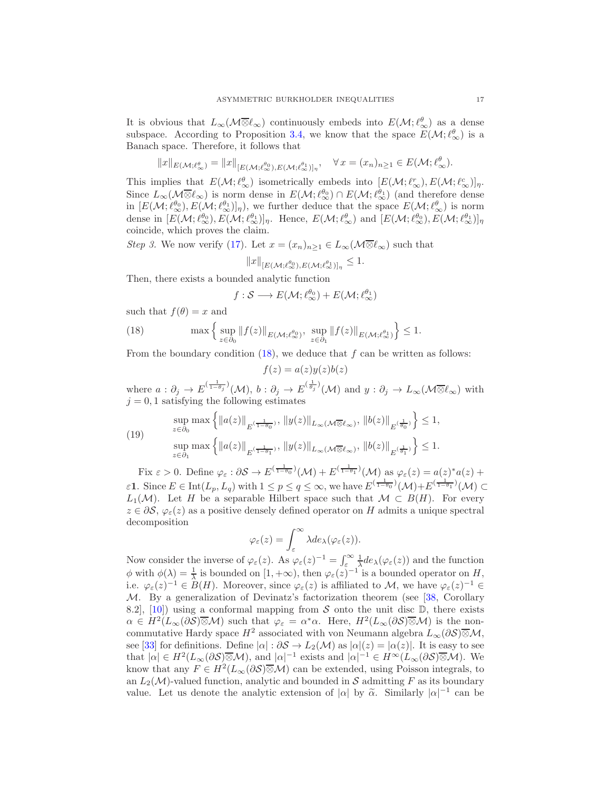It is obvious that  $L_{\infty}(\mathcal{M} \overline{\otimes} \ell_{\infty})$  continuously embeds into  $E(\mathcal{M}; \ell_{\infty}^{\theta})$  as a dense subspace. According to Proposition [3.4,](#page-10-0) we know that the space  $E(\mathcal{M}; \ell^{\theta}_{\infty})$  is a Banach space. Therefore, it follows that

$$
||x||_{E(\mathcal{M};\ell_\infty^{\theta})} = ||x||_{[E(\mathcal{M};\ell_\infty^{\theta_0}),E(\mathcal{M};\ell_\infty^{\theta_1})]_\eta}, \quad \forall x = (x_n)_{n \ge 1} \in E(\mathcal{M};\ell_\infty^{\theta}).
$$

This implies that  $E(\mathcal{M}; \ell_{\infty}^{\theta})$  isometrically embeds into  $[E(\mathcal{M}; \ell_{\infty}^{r}), E(\mathcal{M}; \ell_{\infty}^{c})]_{\eta}$ . Since  $L_{\infty}(\mathcal{M}\overline{\otimes}\ell_{\infty})$  is norm dense in  $E(\mathcal{M}; \ell_{\infty}^{\theta_0}) \cap E(\mathcal{M}; \ell_{\infty}^{\theta_1})$  (and therefore dense in  $[E(\mathcal{M}; \ell_{\infty}^{\theta_0}), E(\mathcal{M}; \ell_{\infty}^{\theta_1})]_{\eta}$ , we further deduce that the space  $E(\mathcal{M}; \ell_{\infty}^{\theta})$  is norm dense in  $[E(\mathcal{M}; \ell_{\infty}^{\theta_0}), E(\mathcal{M}; \ell_{\infty}^{\theta_1})]_{\eta}$ . Hence,  $E(\mathcal{M}; \ell_{\infty}^{\theta})$  and  $[E(\mathcal{M}; \ell_{\infty}^{\theta_0}), E(\mathcal{M}; \ell_{\infty}^{\theta_1})]_{\eta}$ coincide, which proves the claim.

*Step 3.* We now verify [\(17\)](#page-15-1). Let  $x = (x_n)_{n>1} \in L_\infty(\mathcal{M} \overline{\otimes} \ell_\infty)$  such that

$$
||x||_{[E(\mathcal{M};\ell_{\infty}^{\theta_0}),E(\mathcal{M};\ell_{\infty}^{\theta_1})]_{\eta}} \leq 1.
$$

Then, there exists a bounded analytic function

<span id="page-16-0"></span>
$$
f : \mathcal{S} \longrightarrow E(\mathcal{M}; \ell_{\infty}^{\theta_0}) + E(\mathcal{M}; \ell_{\infty}^{\theta_1})
$$

such that  $f(\theta) = x$  and

(18) 
$$
\max \left\{ \sup_{z \in \partial_0} \|f(z)\|_{E(\mathcal{M}; \ell_\infty^{\theta_0})}, \sup_{z \in \partial_1} \|f(z)\|_{E(\mathcal{M}; \ell_\infty^{\theta_1})} \right\} \le 1.
$$

From the boundary condition  $(18)$ , we deduce that f can be written as follows:

$$
f(z) = a(z)y(z)b(z)
$$

where  $a: \partial_j \to E^{(\frac{1}{1-\theta_j})}(\mathcal{M}), b: \partial_j \to E^{(\frac{1}{\theta_j})}(\mathcal{M})$  and  $y: \partial_j \to L_\infty(\mathcal{M} \overline{\otimes} \ell_\infty)$  with  $j = 0, 1$  satisfying the following estimates

(19) 
$$
\sup_{z \in \partial_0} \max \left\{ ||a(z)||_{E^{(\frac{1}{1-\theta_0})}}, ||y(z)||_{L_\infty(\mathcal{M}\overline{\otimes} \ell_\infty)}, ||b(z)||_{E^{(\frac{1}{\theta_0})}} \right\} \le 1,
$$
  
\n
$$
\sup_{z \in \partial_1} \max \left\{ ||a(z)||_{E^{(\frac{1}{1-\theta_1})}}, ||y(z)||_{L_\infty(\mathcal{M}\overline{\otimes} \ell_\infty)}, ||b(z)||_{E^{(\frac{1}{\theta_1})}} \right\} \le 1.
$$

Fix  $\varepsilon > 0$ . Define  $\varphi_{\varepsilon} : \partial S \to E^{(\frac{1}{1-\theta_0})}(\mathcal{M}) + E^{(\frac{1}{1-\theta_1})}(\mathcal{M})$  as  $\varphi_{\varepsilon}(z) = a(z)^* a(z) + b(z)$  $\varepsilon$ 1. Since  $E \in \text{Int}(L_p, L_q)$  with  $1 \leq p \leq q \leq \infty$ , we have  $E^{(\frac{1}{1-\theta_0})}(\mathcal{M}) + E^{(\frac{1}{1-\theta_1})}(\mathcal{M}) \subset$  $L_1(\mathcal{M})$ . Let H be a separable Hilbert space such that  $\mathcal{M} \subset B(H)$ . For every  $z \in \partial S$ ,  $\varphi_{\varepsilon}(z)$  as a positive densely defined operator on H admits a unique spectral decomposition

$$
\varphi_{\varepsilon}(z) = \int_{\varepsilon}^{\infty} \lambda de_{\lambda}(\varphi_{\varepsilon}(z)).
$$

Now consider the inverse of  $\varphi_{\varepsilon}(z)$ . As  $\varphi_{\varepsilon}(z)^{-1} = \int_{\varepsilon}^{\infty} \frac{1}{\lambda} d e_{\lambda}(\varphi_{\varepsilon}(z))$  and the function  $\phi$  with  $\phi(\lambda) = \frac{1}{\lambda}$  is bounded on  $[1, +\infty)$ , then  $\varphi_{\varepsilon}(z)^{-1}$  is a bounded operator on H, i.e.  $\varphi_{\varepsilon}(z)^{-1} \in B(H)$ . Moreover, since  $\varphi_{\varepsilon}(z)$  is affiliated to M, we have  $\varphi_{\varepsilon}(z)^{-1} \in$ M. By a generalization of Devinatz's factorization theorem (see [\[38,](#page-29-19) Corollary 8.2, [\[10\]](#page-28-18)) using a conformal mapping from  $S$  onto the unit disc  $\mathbb{D}$ , there exists  $\alpha \in H^2(L_\infty(\partial S) \overline{\otimes} \mathcal{M})$  such that  $\varphi_\varepsilon = \alpha^* \alpha$ . Here,  $H^2(L_\infty(\partial S) \overline{\otimes} \mathcal{M})$  is the noncommutative Hardy space  $H^2$  associated with von Neumann algebra  $L_{\infty}(\partial \mathcal{S})\overline{\otimes} \mathcal{M}$ , see [\[33\]](#page-29-25) for definitions. Define  $|\alpha| : \partial S \to L_2(\mathcal{M})$  as  $|\alpha|(z) = |\alpha(z)|$ . It is easy to see that  $|\alpha| \in H^2(L_\infty(\partial \mathcal{S}) \overline{\otimes} \mathcal{M})$ , and  $|\alpha|^{-1}$  exists and  $|\alpha|^{-1} \in H^\infty(L_\infty(\partial \mathcal{S}) \overline{\otimes} \mathcal{M})$ . We know that any  $F \in H^2(L_\infty(\partial \mathcal{S}) \overline{\otimes} \mathcal{M})$  can be extended, using Poisson integrals, to an  $L_2(\mathcal{M})$ -valued function, analytic and bounded in S admitting F as its boundary value. Let us denote the analytic extension of  $|\alpha|$  by  $\tilde{\alpha}$ . Similarly  $|\alpha|^{-1}$  can be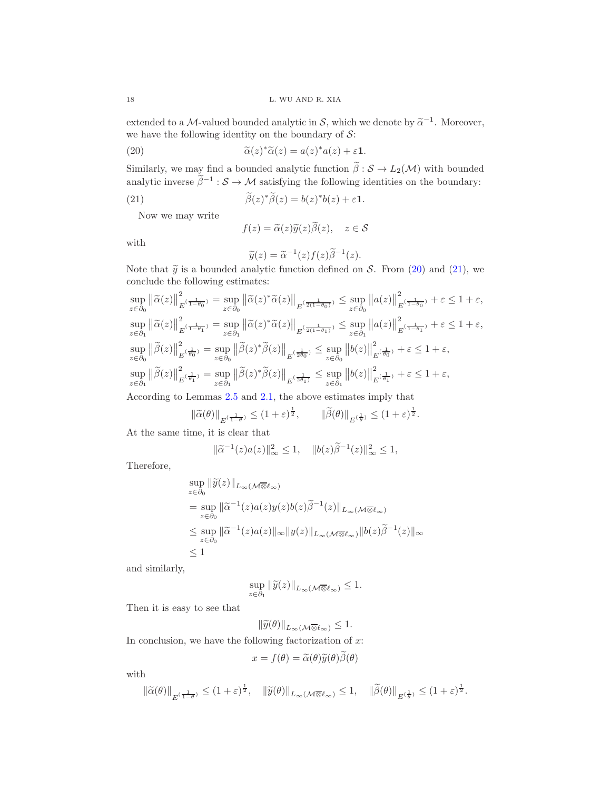extended to a *M*-valued bounded analytic in *S*, which we denote by  $\tilde{\alpha}^{-1}$ . Moreover, we have the following identity on the boundary of  $\mathcal{S} \mathpunct{:}$ 

(20) 
$$
\widetilde{\alpha}(z)^*\widetilde{\alpha}(z) = a(z)^*a(z) + \varepsilon \mathbf{1}.
$$

Similarly, we may find a bounded analytic function  $\beta : \mathcal{S} \to L_2(\mathcal{M})$  with bounded analytic inverse  $\beta^{-1}$  :  $S \to M$  satisfying the following identities on the boundary:

(21) 
$$
\widetilde{\beta}(z)^{*}\widetilde{\beta}(z) = b(z)^{*}b(z) + \varepsilon \mathbf{1}.
$$

Now we may write

<span id="page-17-1"></span><span id="page-17-0"></span>
$$
f(z) = \tilde{\alpha}(z)\tilde{y}(z)\beta(z), \quad z \in \mathcal{S}
$$

with

$$
\widetilde{y}(z) = \widetilde{\alpha}^{-1}(z) f(z) \widetilde{\beta}^{-1}(z).
$$

Note that  $\tilde{y}$  is a bounded analytic function defined on S. From [\(20\)](#page-17-0) and [\(21\)](#page-17-1), we conclude the following estimates:

$$
\sup_{z \in \partial_0} ||\widetilde{\alpha}(z)||_{E^{(\frac{1}{1-\theta_0})}}^2 = \sup_{z \in \partial_0} ||\widetilde{\alpha}(z)^* \widetilde{\alpha}(z)||_{E^{(\frac{1}{2(1-\theta_0)})}} \le \sup_{z \in \partial_0} ||a(z)||_{E^{(\frac{1}{1-\theta_0})}}^2 + \varepsilon \le 1 + \varepsilon,
$$
  
\n
$$
\sup_{z \in \partial_1} ||\widetilde{\alpha}(z)||_{E^{(\frac{1}{1-\theta_1})}}^2 = \sup_{z \in \partial_1} ||\widetilde{\alpha}(z)^* \widetilde{\alpha}(z)||_{E^{(\frac{1}{2(1-\theta_1)})}} \le \sup_{z \in \partial_1} ||a(z)||_{E^{(\frac{1}{1-\theta_1})}}^2 + \varepsilon \le 1 + \varepsilon,
$$
  
\n
$$
\sup_{z \in \partial_0} ||\widetilde{\beta}(z)||_{E^{(\frac{1}{\theta_0})}}^2 = \sup_{z \in \partial_0} ||\widetilde{\beta}(z)^* \widetilde{\beta}(z)||_{E^{(\frac{1}{2\theta_0})}} \le \sup_{z \in \partial_0} ||b(z)||_{E^{(\frac{1}{\theta_0})}}^2 + \varepsilon \le 1 + \varepsilon,
$$
  
\n
$$
\sup_{z \in \partial_1} ||\widetilde{\beta}(z)||_{E^{(\frac{1}{\theta_1})}}^2 = \sup_{z \in \partial_1} ||\widetilde{\beta}(z)^* \widetilde{\beta}(z)||_{E^{(\frac{1}{2\theta_1})}} \le \sup_{z \in \partial_1} ||b(z)||_{E^{(\frac{1}{\theta_1})}}^2 + \varepsilon \le 1 + \varepsilon,
$$

According to Lemmas [2.5](#page-7-0) and [2.1,](#page-3-0) the above estimates imply that

$$
\|\widetilde{\alpha}(\theta)\|_{E^{(\frac{1}{1-\theta})}} \le (1+\varepsilon)^{\frac{1}{2}}, \qquad \|\widetilde{\beta}(\theta)\|_{E^{(\frac{1}{\theta})}} \le (1+\varepsilon)^{\frac{1}{2}}.
$$

At the same time, it is clear that

$$
\|\tilde{\alpha}^{-1}(z)a(z)\|_{\infty}^2 \le 1, \quad \|b(z)\tilde{\beta}^{-1}(z)\|_{\infty}^2 \le 1,
$$

Therefore,

$$
\sup_{z \in \partial_0} \|\widetilde{y}(z)\|_{L_\infty(\mathcal{M} \overline{\otimes} \ell_\infty)}
$$
\n
$$
= \sup_{z \in \partial_0} \|\widetilde{\alpha}^{-1}(z)a(z)y(z)b(z)\widetilde{\beta}^{-1}(z)\|_{L_\infty(\mathcal{M} \overline{\otimes} \ell_\infty)}
$$
\n
$$
\leq \sup_{z \in \partial_0} \|\widetilde{\alpha}^{-1}(z)a(z)\|_{\infty} \|y(z)\|_{L_\infty(\mathcal{M} \overline{\otimes} \ell_\infty)} \|b(z)\widetilde{\beta}^{-1}(z)\|_{\infty}
$$
\n
$$
\leq 1
$$

and similarly,

$$
\sup_{z \in \partial_1} \|\widetilde{y}(z)\|_{L_\infty(\mathcal{M} \overline{\otimes} \ell_\infty)} \leq 1.
$$

Then it is easy to see that

$$
\|\widetilde{y}(\theta)\|_{L_{\infty}(\mathcal{M}\overline{\otimes} \ell_{\infty})} \leq 1.
$$

In conclusion, we have the following factorization of  $x$ :

$$
x = f(\theta) = \tilde{\alpha}(\theta)\tilde{y}(\theta)\tilde{\beta}(\theta)
$$

with

$$
\|\widetilde{\alpha}(\theta)\|_{E^{(\frac{1}{1-\theta})}}\leq (1+\varepsilon)^{\frac{1}{2}},\quad \|\widetilde{y}(\theta)\|_{L_\infty(\mathcal{M}\overline{\otimes} \ell_\infty)}\leq 1,\quad \|\widetilde{\beta}(\theta)\|_{E^{(\frac{1}{\theta})}}\leq (1+\varepsilon)^{\frac{1}{2}}.
$$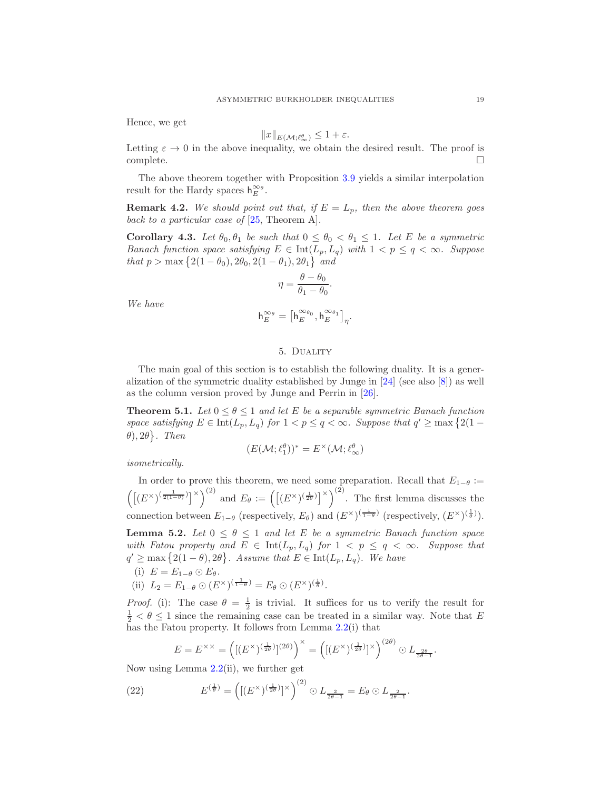Hence, we get

$$
||x||_{E(\mathcal{M};\ell^{\theta}_{\infty})} \leq 1 + \varepsilon.
$$

Letting  $\varepsilon \to 0$  in the above inequality, we obtain the desired result. The proof is  $\Box$ complete.

The above theorem together with Proposition [3.9](#page-14-0) yields a similar interpolation result for the Hardy spaces  $h_E^{\infty_{\theta}}$ .

**Remark 4.2.** We should point out that, if  $E = L_p$ , then the above theorem goes *back to a particular case of* [\[25,](#page-29-26) Theorem A]*.*

**Corollary 4.3.** Let  $\theta_0$ ,  $\theta_1$  be such that  $0 \leq \theta_0 < \theta_1 \leq 1$ . Let E be a symmetric *Banach function space satisfying*  $E \in \text{Int}(L_p, L_q)$  *with*  $1 < p \le q < \infty$ *. Suppose that*  $p > \max\{2(1 - \theta_0), 2\theta_0, 2(1 - \theta_1), 2\theta_1\}$  *and* 

$$
\eta = \frac{\theta - \theta_0}{\theta_1 - \theta_0}.
$$

*We have*

$$
\mathsf{h}_{E}^{\infty \scriptscriptstyle \theta} = \big[ \mathsf{h}_{E}^{\infty \scriptscriptstyle \theta_0}, \mathsf{h}_{E}^{\infty \scriptscriptstyle \theta_1} \big]_{\eta}.
$$

## 5. Duality

<span id="page-18-0"></span>The main goal of this section is to establish the following duality. It is a generalization of the symmetric duality established by Junge in [\[24\]](#page-29-2) (see also [\[8\]](#page-28-7)) as well as the column version proved by Junge and Perrin in [\[26\]](#page-29-27).

<span id="page-18-3"></span>**Theorem 5.1.** Let  $0 \le \theta \le 1$  and let E be a separable symmetric Banach function *space satisfying*  $E \in \text{Int}(L_p, L_q)$  *for*  $1 < p \le q < \infty$ *. Suppose that*  $q' \ge \max\{2(1-q)\}$  $\{\theta\}, 2\theta\}$ . Then

$$
(E(\mathcal{M}; \ell_1^{\theta}))^* = E^{\times}(\mathcal{M}; \ell_{\infty}^{\theta})
$$

*isometrically.*

In order to prove this theorem, we need some preparation. Recall that  $E_{1-\theta} :=$  $\left(\left[\left(E^{\times}\right)^{\left(\frac{1}{2(1-\theta)}\right)}\right]^{\times}\right)^{(2)}$  and  $E_{\theta} := \left(\left[\left(E^{\times}\right)^{\left(\frac{1}{2\theta}\right)}\right]^{\times}\right)^{(2)}$ . The first lemma discusses the connection between  $E_{1-\theta}$  (respectively,  $E_{\theta}$ ) and  $(E^{\times})^{\left(\frac{1}{1-\theta}\right)}$  (respectively,  $(E^{\times})^{\left(\frac{1}{\theta}\right)}$ ).

<span id="page-18-2"></span>**Lemma 5.2.** *Let*  $0 \le \theta \le 1$  *and let* E *be a symmetric Banach function space with Fatou property and*  $E \in \text{Int}(L_p, L_q)$  *for*  $1 < p \le q < \infty$ *. Suppose that*  $q' \geq \max\{2(1-\theta), 2\theta\}$ . Assume that  $E \in \text{Int}(L_p, L_q)$ . We have (i)  $E = E_{1-\theta} \odot E_{\theta}$ .

(ii)  $L_2 = E_{1-\theta} \odot (E^{\times})^{(\frac{1}{1-\theta})} = E_{\theta} \odot (E^{\times})^{(\frac{1}{\theta})}$ .

*Proof.* (i): The case  $\theta = \frac{1}{2}$  is trivial. It suffices for us to verify the result for  $\frac{1}{2} < \theta \leq 1$  since the remaining case can be treated in a similar way. Note that E has the Fatou property. It follows from Lemma [2.2\(](#page-4-1)i) that

<span id="page-18-1"></span>
$$
E = E^{\times \times} = \left( [(E^{\times})^{\left(\frac{1}{2\theta}\right)}]^{(2\theta)} \right)^{\times} = \left( [(E^{\times})^{\left(\frac{1}{2\theta}\right)}]^{\times} \right)^{(2\theta)} \odot L_{\frac{2\theta}{2\theta - 1}}.
$$

Now using Lemma  $2.2$ (ii), we further get

(22) 
$$
E^{(\frac{1}{\theta})} = ([(E^{\times})(\frac{1}{2\theta})]^{\times})^{(2)} \odot L_{\frac{2}{2\theta-1}} = E_{\theta} \odot L_{\frac{2}{2\theta-1}}.
$$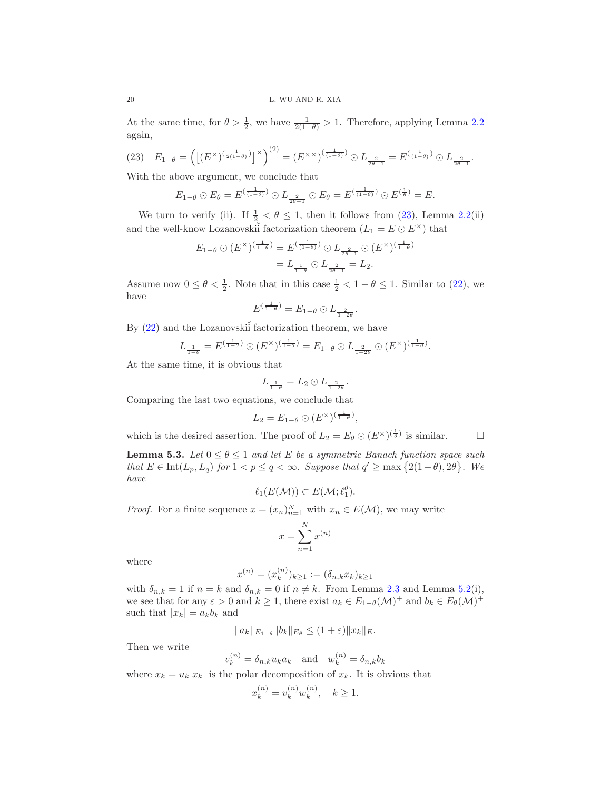At the same time, for  $\theta > \frac{1}{2}$ , we have  $\frac{1}{2(1-\theta)} > 1$ . Therefore, applying Lemma [2.2](#page-4-1) again,

<span id="page-19-0"></span>
$$
(23) \quad E_{1-\theta} = \left( \left[ (E^{\times})^{\left(\frac{1}{2(1-\theta)}\right)} \right]^{\times} \right)^{(2)} = \left( E^{\times \times} \right)^{\left(\frac{1}{(1-\theta)}\right)} \odot L_{\frac{2}{2\theta-1}} = E^{\left(\frac{1}{(1-\theta)}\right)} \odot L_{\frac{2}{2\theta-1}}.
$$

With the above argument, we conclude that

$$
E_{1-\theta} \odot E_{\theta} = E^{(\frac{1}{(1-\theta)})} \odot L_{\frac{2}{2\theta-1}} \odot E_{\theta} = E^{(\frac{1}{(1-\theta)})} \odot E^{(\frac{1}{\theta})} = E.
$$

We turn to verify (ii). If  $\frac{1}{2} < \theta \leq 1$ , then it follows from [\(23\)](#page-19-0), Lemma [2.2\(](#page-4-1)ii) and the well-know Lozanovskiı̆ factorization theorem  $(L_1 = E \odot E^{\times})$  that

$$
E_{1-\theta} \odot (E^{\times})^{\left(\frac{1}{1-\theta}\right)} = E^{\left(\frac{1}{(1-\theta)}\right)} \odot L_{\frac{2}{2\theta-1}} \odot (E^{\times})^{\left(\frac{1}{1-\theta}\right)}
$$

$$
= L_{\frac{1}{1-\theta}} \odot L_{\frac{2}{2\theta-1}} = L_2.
$$

Assume now  $0 \le \theta < \frac{1}{2}$ . Note that in this case  $\frac{1}{2} < 1 - \theta \le 1$ . Similar to [\(22\)](#page-18-1), we have

$$
E^{\left(\frac{1}{1-\theta}\right)} = E_{1-\theta} \odot L_{\frac{2}{1-2\theta}}.
$$

By  $(22)$  and the Lozanovski<sup>i</sup> factorization theorem, we have

$$
L_{\frac{1}{1-\theta}} = E^{\left(\frac{1}{1-\theta}\right)} \odot (E^{\times})^{\left(\frac{1}{1-\theta}\right)} = E_{1-\theta} \odot L_{\frac{2}{1-2\theta}} \odot (E^{\times})^{\left(\frac{1}{1-\theta}\right)}.
$$

At the same time, it is obvious that

$$
L_{\frac{1}{1-\theta}} = L_2 \odot L_{\frac{2}{1-2\theta}}.
$$

Comparing the last two equations, we conclude that

$$
L_2 = E_{1-\theta} \odot (E^{\times})^{(\frac{1}{1-\theta})},
$$

which is the desired assertion. The proof of  $L_2 = E_\theta \odot (E^\times)^{(\frac{1}{\theta})}$  is similar.

<span id="page-19-1"></span>**Lemma 5.3.** *Let*  $0 \le \theta \le 1$  *and let*  $E$  *be a symmetric Banach function space such that*  $E \in \text{Int}(L_p, L_q)$  *for*  $1 < p \le q < \infty$ *. Suppose that*  $q' \ge \max\{2(1-\theta), 2\theta\}$ *. We have*

$$
\ell_1(E(\mathcal{M})) \subset E(\mathcal{M}; \ell_1^{\theta}).
$$

*Proof.* For a finite sequence  $x = (x_n)_{n=1}^N$  with  $x_n \in E(\mathcal{M})$ , we may write

$$
x = \sum_{n=1}^{N} x^{(n)}
$$

where

$$
x^{(n)} = (x_k^{(n)})_{k \ge 1} := (\delta_{n,k} x_k)_{k \ge 1}
$$

with  $\delta_{n,k} = 1$  if  $n = k$  and  $\delta_{n,k} = 0$  if  $n \neq k$ . From Lemma [2.3](#page-5-0) and Lemma [5.2\(](#page-18-2)i), we see that for any  $\varepsilon > 0$  and  $k \ge 1$ , there exist  $a_k \in E_{1-\theta}(\mathcal{M})^+$  and  $b_k \in E_{\theta}(\mathcal{M})^+$ such that  $|x_k| = a_k b_k$  and

$$
||a_k||_{E_{1-\theta}}||b_k||_{E_{\theta}} \le (1+\varepsilon)||x_k||_E.
$$

 $\lambda$ 

Then we write

$$
v_k^{(n)} = \delta_{n,k} u_k a_k \quad \text{and} \quad w_k^{(n)} = \delta_{n,k} b_k
$$

where  $x_k = u_k |x_k|$  is the polar decomposition of  $x_k$ . It is obvious that

$$
x_k^{(n)} = v_k^{(n)} w_k^{(n)}, \quad k \ge 1.
$$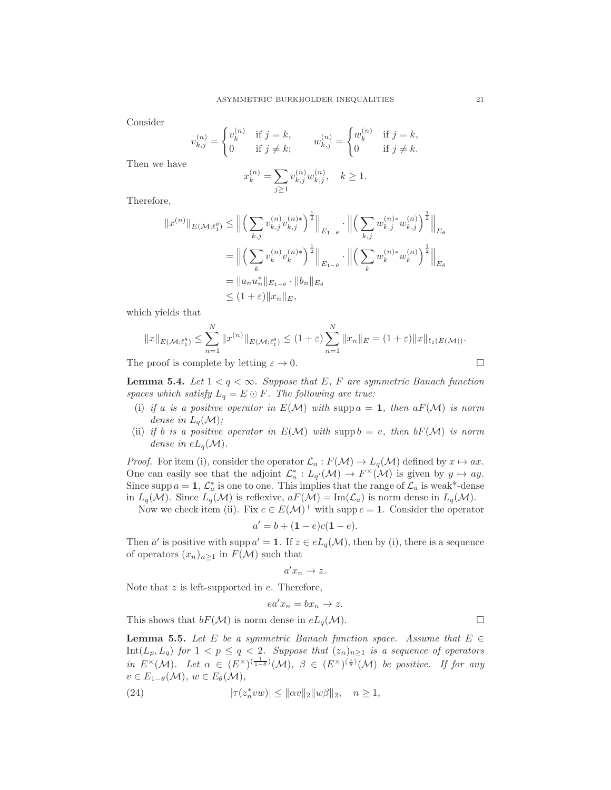Consider

$$
v_{k,j}^{(n)} = \begin{cases} v_k^{(n)} & \text{if } j = k, \\ 0 & \text{if } j \neq k; \end{cases} \qquad w_{k,j}^{(n)} = \begin{cases} w_k^{(n)} & \text{if } j = k, \\ 0 & \text{if } j \neq k. \end{cases}
$$

Then we have

$$
x_k^{(n)} = \sum_{j\geq 1} v_{k,j}^{(n)} w_{k,j}^{(n)}, \quad k \geq 1.
$$

Therefore,

$$
||x^{(n)}||_{E(\mathcal{M};\ell_1^{\theta})} \leq ||\left(\sum_{k,j} v_{k,j}^{(n)} v_{k,j}^{(n)*}\right)^{\frac{1}{2}}||_{E_{1-\theta}} \cdot ||\left(\sum_{k,j} w_{k,j}^{(n)*} w_{k,j}^{(n)}\right)^{\frac{1}{2}}||_{E_{\theta}}
$$
  
\n
$$
= ||\left(\sum_k v_k^{(n)} v_k^{(n)*}\right)^{\frac{1}{2}}||_{E_{1-\theta}} \cdot ||\left(\sum_k w_k^{(n)*} w_k^{(n)}\right)^{\frac{1}{2}}||_{E_{\theta}}
$$
  
\n
$$
= ||a_n u_n^*||_{E_{1-\theta}} \cdot ||b_n||_{E_{\theta}}
$$
  
\n
$$
\leq (1+\varepsilon) ||x_n||_E,
$$

which yields that

$$
||x||_{E(\mathcal{M};\ell_1^{\theta})} \leq \sum_{n=1}^N ||x^{(n)}||_{E(\mathcal{M};\ell_1^{\theta})} \leq (1+\varepsilon) \sum_{n=1}^N ||x_n||_E = (1+\varepsilon) ||x||_{\ell_1(E(\mathcal{M}))}.
$$

The proof is complete by letting  $\varepsilon \to 0$ .

<span id="page-20-1"></span>**Lemma 5.4.** *Let*  $1 < q < \infty$ *. Suppose that E, F are symmetric Banach function spaces which satisfy*  $L_q = E \odot F$ *. The following are true:* 

- (i) *if* a *is* a positive operator in  $E(\mathcal{M})$  with supp  $a = 1$ , then  $aF(\mathcal{M})$  is norm *dense in*  $L_q(\mathcal{M})$ *;*
- (ii) *if b is a positive operator in*  $E(\mathcal{M})$  *with* supp  $b = e$ , *then*  $bF(\mathcal{M})$  *is norm dense in*  $eL_q(\mathcal{M})$ *.*

*Proof.* For item (i), consider the operator  $\mathcal{L}_a : F(\mathcal{M}) \to L_q(\mathcal{M})$  defined by  $x \mapsto ax$ . One can easily see that the adjoint  $\mathcal{L}_a^* : L_{q'}(\mathcal{M}) \to F^\times(\mathcal{M})$  is given by  $y \mapsto ay$ . Since supp  $a = 1$ ,  $\mathcal{L}_a^*$  is one to one. This implies that the range of  $\mathcal{L}_a$  is weak\*-dense in  $L_q(\mathcal{M})$ . Since  $L_q(\mathcal{M})$  is reflexive,  $aF(\mathcal{M}) = \text{Im}(\mathcal{L}_a)$  is norm dense in  $L_q(\mathcal{M})$ .

Now we check item (ii). Fix  $c \in E(\mathcal{M})^+$  with supp  $c = 1$ . Consider the operator

$$
a' = b + (1 - e)c(1 - e).
$$

Then a' is positive with supp  $a' = 1$ . If  $z \in eL_q(\mathcal{M})$ , then by (i), there is a sequence of operators  $(x_n)_{n\geq 1}$  in  $F(\mathcal{M})$  such that

$$
a'x_n \to z.
$$

Note that  $z$  is left-supported in  $e$ . Therefore,

<span id="page-20-0"></span>
$$
ea'x_n = bx_n \to z.
$$

This shows that  $bF(\mathcal{M})$  is norm dense in  $eL_q(\mathcal{M})$ .

<span id="page-20-2"></span>**Lemma 5.5.** Let E be a symmetric Banach function space. Assume that  $E \in$ Int(Lp, Lq) *for* 1 < p ≤ q < 2*. Suppose that* (zn)n≥<sup>1</sup> *is a sequence of operators in*  $E^{\times}(\mathcal{M})$ *.* Let  $\alpha \in (E^{\times})^{(\frac{1}{1-\theta})}(\mathcal{M})$ *,*  $\beta \in (E^{\times})^{(\frac{1}{\theta})}(\mathcal{M})$  be positive. If for any  $v \in E_{1-\theta}(\mathcal{M}), w \in E_{\theta}(\mathcal{M}),$ 

(24) 
$$
|\tau(z_n^*vw)| \leq ||\alpha v||_2||w\beta||_2, \quad n \geq 1,
$$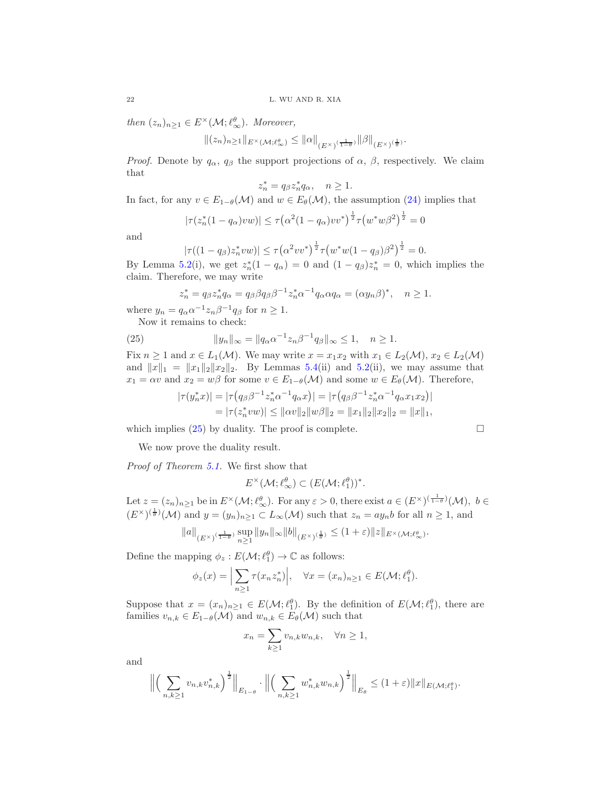*then*  $(z_n)_{n\geq 1} \in E^{\times}(\mathcal{M}; \ell_{\infty}^{\theta})$ *. Moreover,* 

$$
||(z_n)_{n\geq 1}||_{E^{\times}(\mathcal{M};\ell_\infty^\theta)} \leq ||\alpha||_{(E^{\times})^{(\frac{1}{1-\theta})}} ||\beta||_{(E^{\times})^{(\frac{1}{\theta})}}.
$$

*Proof.* Denote by  $q_\alpha$ ,  $q_\beta$  the support projections of  $\alpha$ ,  $\beta$ , respectively. We claim that

$$
z_n^* = q_\beta z_n^* q_\alpha, \quad n \ge 1.
$$

In fact, for any  $v \in E_{1-\theta}(\mathcal{M})$  and  $w \in E_{\theta}(\mathcal{M})$ , the assumption [\(24\)](#page-20-0) implies that

$$
|\tau(z_n^*(1 - q_\alpha)vw)| \le \tau(\alpha^2(1 - q_\alpha)vv^*)^{\frac{1}{2}}\tau(w^*w\beta^2)^{\frac{1}{2}} = 0
$$

and

$$
|\tau((1-q_{\beta})z_n^*vw)| \le \tau(\alpha^2vv^*)^{\frac{1}{2}}\tau(w^*w(1-q_{\beta})\beta^2)^{\frac{1}{2}} = 0.
$$

By Lemma [5.2\(](#page-18-2)i), we get  $z_n^*(1 - q_\alpha) = 0$  and  $(1 - q_\beta)z_n^* = 0$ , which implies the claim. Therefore, we may write

<span id="page-21-0"></span>
$$
z_n^* = q_\beta z_n^* q_\alpha = q_\beta \beta q_\beta \beta^{-1} z_n^* \alpha^{-1} q_\alpha \alpha q_\alpha = (\alpha y_n \beta)^*, \quad n \ge 1.
$$

where  $y_n = q_\alpha \alpha^{-1} z_n \beta^{-1} q_\beta$  for  $n \ge 1$ .

Now it remains to check:

(25) 
$$
||y_n||_{\infty} = ||q_{\alpha}\alpha^{-1}z_n\beta^{-1}q_{\beta}||_{\infty} \le 1, \quad n \ge 1.
$$

Fix  $n \geq 1$  and  $x \in L_1(\mathcal{M})$ . We may write  $x = x_1x_2$  with  $x_1 \in L_2(\mathcal{M})$ ,  $x_2 \in L_2(\mathcal{M})$ and  $||x||_1 = ||x_1||_2||x_2||_2$ . By Lemmas [5.4\(](#page-20-1)ii) and [5.2\(](#page-18-2)ii), we may assume that  $x_1 = \alpha v$  and  $x_2 = w\beta$  for some  $v \in E_{1-\theta}(\mathcal{M})$  and some  $w \in E_{\theta}(\mathcal{M})$ . Therefore,

$$
|\tau(y_n^*x)| = |\tau(q_\beta \beta^{-1} z_n^* \alpha^{-1} q_\alpha x)| = |\tau(q_\beta \beta^{-1} z_n^* \alpha^{-1} q_\alpha x_1 x_2)|
$$
  
=  $|\tau(z_n^* v w)| \le ||\alpha v||_2 ||w\beta||_2 = ||x_1||_2 ||x_2||_2 = ||x||_1,$ 

which implies [\(25\)](#page-21-0) by duality. The proof is complete.

We now prove the duality result.

*Proof of Theorem [5.1.](#page-18-3)* We first show that

$$
E^{\times}(\mathcal{M}; \ell_{\infty}^{\theta}) \subset (E(\mathcal{M}; \ell_{1}^{\theta}))^{*}.
$$

Let  $z = (z_n)_{n \geq 1}$  be in  $E^{\times}(\mathcal{M}; \ell_{\infty}^{\theta})$ . For any  $\varepsilon > 0$ , there exist  $a \in (E^{\times})^{(\frac{1}{1-\theta})}(\mathcal{M})$ ,  $b \in$  $(E^{\times})^{(\frac{1}{\theta})}(\mathcal{M})$  and  $y=(y_n)_{n\geq 1}\subset L_{\infty}(\mathcal{M})$  such that  $z_n=ay_nb$  for all  $n\geq 1$ , and

$$
||a||_{(E^{\times})^{(\frac{1}{1-\theta})}} \sup_{n\geq 1} ||y_n||_{\infty} ||b||_{(E^{\times})^{(\frac{1}{\theta})}} \leq (1+\varepsilon) ||z||_{E^{\times}(\mathcal{M};\ell_{\infty}^{\theta})}.
$$

Define the mapping  $\phi_z : E(\mathcal{M}; \ell_1^{\theta}) \to \mathbb{C}$  as follows:

$$
\phi_z(x) = \Big| \sum_{n \ge 1} \tau(x_n z_n^*) \Big|, \quad \forall x = (x_n)_{n \ge 1} \in E(\mathcal{M}; \ell_1^{\theta}).
$$

Suppose that  $x = (x_n)_{n \geq 1} \in E(\mathcal{M}; \ell_1^{\theta})$ . By the definition of  $E(\mathcal{M}; \ell_1^{\theta})$ , there are families  $v_{n,k} \in E_{1-\theta}(\mathcal{M})$  and  $w_{n,k} \in E_{\theta}(\mathcal{M})$  such that

$$
x_n = \sum_{k \ge 1} v_{n,k} w_{n,k}, \quad \forall n \ge 1,
$$

and

$$
\left\| \left( \sum_{n,k\geq 1} v_{n,k} v_{n,k}^* \right)^{\frac{1}{2}} \right\|_{E_{1-\theta}} \cdot \left\| \left( \sum_{n,k\geq 1} w_{n,k}^* w_{n,k} \right)^{\frac{1}{2}} \right\|_{E_{\theta}} \leq (1+\varepsilon) \|x\|_{E(\mathcal{M};\ell_1^{\theta})}.
$$

$$
\Box_{\varepsilon}
$$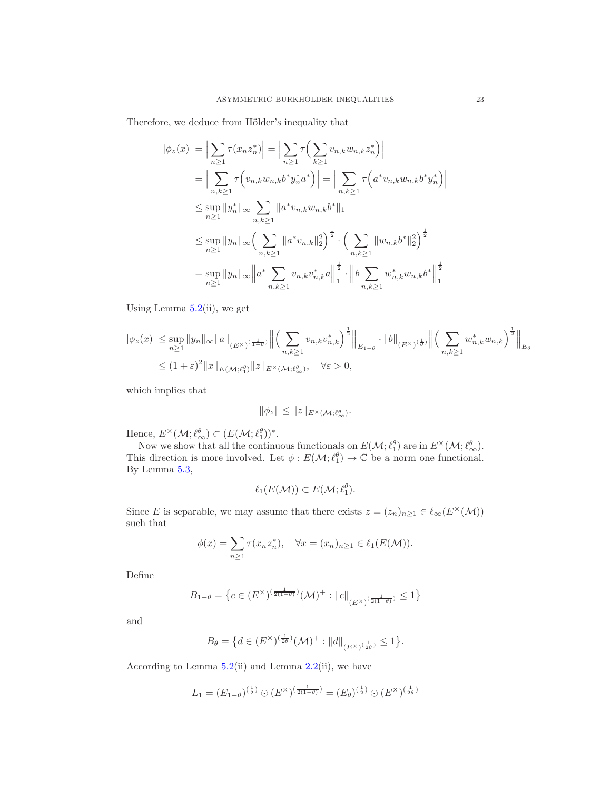Therefore, we deduce from Hölder's inequality that

$$
|\phi_z(x)| = \Big| \sum_{n \ge 1} \tau(x_n z_n^*) \Big| = \Big| \sum_{n \ge 1} \tau \Big( \sum_{k \ge 1} v_{n,k} w_{n,k} z_n^* \Big) \Big|
$$
  
\n
$$
= \Big| \sum_{n,k \ge 1} \tau \Big( v_{n,k} w_{n,k} b^* y_n^* a^* \Big) \Big| = \Big| \sum_{n,k \ge 1} \tau \Big( a^* v_{n,k} w_{n,k} b^* y_n^* \Big) \Big|
$$
  
\n
$$
\le \sup_{n \ge 1} \|y_n^*\|_{\infty} \sum_{n,k \ge 1} \|a^* v_{n,k} w_{n,k} b^* \|_1
$$
  
\n
$$
\le \sup_{n \ge 1} \|y_n\|_{\infty} \Big( \sum_{n,k \ge 1} \|a^* v_{n,k} \|_2^2 \Big)^{\frac{1}{2}} \cdot \Big( \sum_{n,k \ge 1} \|w_{n,k} b^* \|_2^2 \Big)^{\frac{1}{2}}
$$
  
\n
$$
= \sup_{n \ge 1} \|y_n\|_{\infty} \Big| a^* \sum_{n,k \ge 1} v_{n,k} v_{n,k}^* a \Big\|_1^{\frac{1}{2}} \cdot \Big\| b \sum_{n,k \ge 1} w_{n,k}^* w_{n,k} b^* \Big\|_1^{\frac{1}{2}}
$$

Using Lemma  $5.2$ (ii), we get

$$
|\phi_z(x)| \le \sup_{n\ge 1} \|y_n\|_{\infty} \|a\|_{(E^{\times})^{(\frac{1}{1-\theta})}} \left\| \left(\sum_{n,k\ge 1} v_{n,k} v_{n,k}^*\right)^{\frac{1}{2}} \right\|_{E_{1-\theta}} \cdot \|b\|_{(E^{\times})^{(\frac{1}{\theta})}} \left\| \left(\sum_{n,k\ge 1} w_{n,k}^* w_{n,k}\right)^{\frac{1}{2}} \right\|_{E_{\theta}}
$$
  

$$
\le (1+\varepsilon)^2 \|x\|_{E(\mathcal{M};\ell_1^{\theta})} \|z\|_{E^{\times}(\mathcal{M};\ell_{\infty}^{\theta})}, \quad \forall \varepsilon > 0,
$$

which implies that

$$
\|\phi_z\| \le \|z\|_{E^\times(\mathcal{M};\ell_\infty^\theta)}.
$$

Hence,  $E^{\times}(\mathcal{M}; \ell_{\infty}^{\theta}) \subset (E(\mathcal{M}; \ell_1^{\theta}))^*$ .

Now we show that all the continuous functionals on  $E(\mathcal{M}; \ell_1^{\theta})$  are in  $E^{\times}(\mathcal{M}; \ell_{\infty}^{\theta})$ .<br>This direction is more involved. Let  $\phi : E(\mathcal{M}; \ell_1^{\theta}) \to \mathbb{C}$  be a norm one functional. By Lemma [5.3,](#page-19-1)

$$
\ell_1(E(\mathcal{M})) \subset E(\mathcal{M}; \ell_1^{\theta}).
$$

Since E is separable, we may assume that there exists  $z = (z_n)_{n \geq 1} \in \ell_{\infty}(E^{\times}(\mathcal{M}))$ such that

$$
\phi(x) = \sum_{n\geq 1} \tau(x_n z_n^*), \quad \forall x = (x_n)_{n\geq 1} \in \ell_1(E(\mathcal{M})).
$$

Define

$$
B_{1-\theta} = \left\{ c \in (E^{\times})^{\left(\frac{1}{2(1-\theta)}\right)} (\mathcal{M})^+ : ||c||_{(E^{\times})^{\left(\frac{1}{2(1-\theta)}\right)}} \le 1 \right\}
$$

and

$$
B_{\theta} = \{ d \in (E^{\times})^{\left(\frac{1}{2\theta}\right)}(\mathcal{M})^{+} : ||d||_{(E^{\times})^{\left(\frac{1}{2\theta}\right)}} \leq 1 \}.
$$

According to Lemma  $5.2(ii)$  $5.2(ii)$  and Lemma  $2.2(ii)$  $2.2(ii)$ , we have

$$
L_1 = (E_{1-\theta})^{(\frac{1}{2})} \odot (E^{\times})^{(\frac{1}{2(1-\theta)})} = (E_{\theta})^{(\frac{1}{2})} \odot (E^{\times})^{(\frac{1}{2\theta})}
$$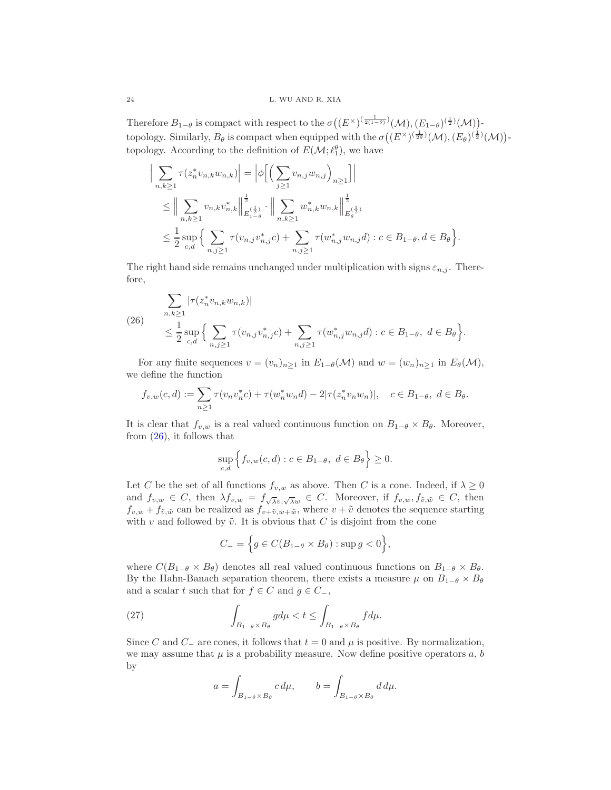Therefore  $B_{1-\theta}$  is compact with respect to the  $\sigma((E^{\times})^{(\frac{1}{2(1-\theta)})}(\mathcal{M}), (E_{1-\theta})^{(\frac{1}{2})}(\mathcal{M}))$ topology. Similarly,  $B_\theta$  is compact when equipped with the  $\sigma((E^\times)^{(\frac{1}{2\theta})}(\mathcal{M}), (E_\theta)^{(\frac{1}{2})}(\mathcal{M}))$ topology. According to the definition of  $E(\mathcal{M}; \ell_1^{\theta})$ , we have

$$
\left| \sum_{n,k \geq 1} \tau(z_n^* v_{n,k} w_{n,k}) \right| = \left| \phi \Big[ \Big( \sum_{j \geq 1} v_{n,j} w_{n,j} \Big)_{n \geq 1} \Big] \right|
$$
  
\n
$$
\leq \left\| \sum_{n,k \geq 1} v_{n,k} v_{n,k}^* \right\|_{E_1(\frac{1}{2})}^{\frac{1}{2}} \cdot \left\| \sum_{n,k \geq 1} w_{n,k}^* w_{n,k} \right\|_{E_\theta(\frac{1}{2})}^{\frac{1}{2}}
$$
  
\n
$$
\leq \frac{1}{2} \sup_{c,d} \Big\{ \sum_{n,j \geq 1} \tau(v_{n,j} v_{n,j}^* c) + \sum_{n,j \geq 1} \tau(w_{n,j}^* w_{n,j} d) : c \in B_{1-\theta}, d \in B_\theta \Big\}.
$$

The right hand side remains unchanged under multiplication with signs  $\varepsilon_{n,j}$ . Therefore,

<span id="page-23-0"></span>(26) 
$$
\sum_{n,k\geq 1} |\tau(z_n^* v_{n,k} w_{n,k})|
$$
  

$$
\leq \frac{1}{2} \sup_{c,d} \Big\{ \sum_{n,j\geq 1} \tau(v_{n,j} v_{n,j}^* c) + \sum_{n,j\geq 1} \tau(w_{n,j}^* w_{n,j} d) : c \in B_{1-\theta}, d \in B_{\theta} \Big\}.
$$

For any finite sequences  $v = (v_n)_{n \geq 1}$  in  $E_{1-\theta}(\mathcal{M})$  and  $w = (w_n)_{n \geq 1}$  in  $E_{\theta}(\mathcal{M})$ , we define the function

$$
f_{v,w}(c,d) := \sum_{n\geq 1} \tau(v_n v_n^* c) + \tau(w_n^* w_n d) - 2|\tau(z_n^* v_n w_n)|, \quad c \in B_{1-\theta}, d \in B_{\theta}.
$$

It is clear that  $f_{v,w}$  is a real valued continuous function on  $B_{1-\theta} \times B_{\theta}$ . Moreover, from  $(26)$ , it follows that

$$
\sup_{c,d} \left\{ f_{v,w}(c,d) : c \in B_{1-\theta}, \ d \in B_{\theta} \right\} \ge 0.
$$

Let C be the set of all functions  $f_{v,w}$  as above. Then C is a cone. Indeed, if  $\lambda \geq 0$ and  $f_{v,w} \in C$ , then  $\lambda f_{v,w} = f_{\sqrt{\lambda}v, \sqrt{\lambda}w} \in C$ . Moreover, if  $f_{v,w}, f_{\tilde{v},\tilde{w}} \in C$ , then  $f_{v,w} + f_{\tilde{v}, \tilde{w}}$  can be realized as  $f_{v+\tilde{v}, w+\tilde{w}}$ , where  $v+\tilde{v}$  denotes the sequence starting with v and followed by  $\tilde{v}$ . It is obvious that C is disjoint from the cone

$$
C_{-} = \left\{ g \in C(B_{1-\theta} \times B_{\theta}) : \sup g < 0 \right\},\
$$

where  $C(B_{1-\theta} \times B_{\theta})$  denotes all real valued continuous functions on  $B_{1-\theta} \times B_{\theta}$ . By the Hahn-Banach separation theorem, there exists a measure  $\mu$  on  $B_{1-\theta} \times B_{\theta}$ and a scalar t such that for  $f \in C$  and  $g \in C_-\$ ,

(27) 
$$
\int_{B_{1-\theta} \times B_{\theta}} g d\mu < t \leq \int_{B_{1-\theta} \times B_{\theta}} f d\mu.
$$

Since C and C<sub>−</sub> are cones, it follows that  $t = 0$  and  $\mu$  is positive. By normalization, we may assume that  $\mu$  is a probability measure. Now define positive operators  $a, b$ by

<span id="page-23-1"></span>
$$
a = \int_{B_{1-\theta} \times B_{\theta}} c \, d\mu, \qquad b = \int_{B_{1-\theta} \times B_{\theta}} d \, d\mu.
$$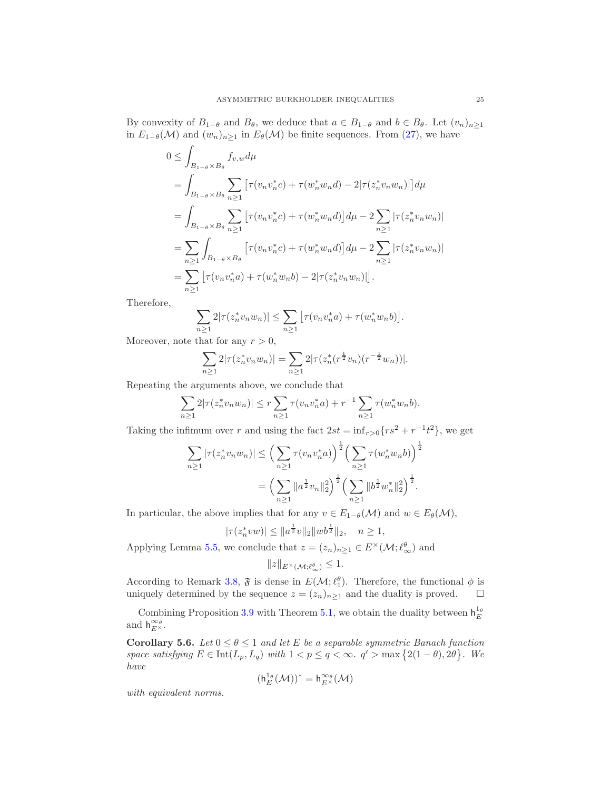By convexity of  $B_{1-\theta}$  and  $B_{\theta}$ , we deduce that  $a \in B_{1-\theta}$  and  $b \in B_{\theta}$ . Let  $(v_n)_{n>1}$ in  $E_{1-\theta}(\mathcal{M})$  and  $(w_n)_{n\geq 1}$  in  $E_{\theta}(\mathcal{M})$  be finite sequences. From [\(27\)](#page-23-1), we have

$$
0 \leq \int_{B_{1-\theta} \times B_{\theta}} f_{v,w} d\mu
$$
  
= 
$$
\int_{B_{1-\theta} \times B_{\theta}} \sum_{n \geq 1} \left[ \tau(v_n v_n^* c) + \tau(w_n^* w_n d) - 2|\tau(z_n^* v_n w_n)| \right] d\mu
$$
  
= 
$$
\int_{B_{1-\theta} \times B_{\theta}} \sum_{n \geq 1} \left[ \tau(v_n v_n^* c) + \tau(w_n^* w_n d) \right] d\mu - 2 \sum_{n \geq 1} |\tau(z_n^* v_n w_n)|
$$
  
= 
$$
\sum_{n \geq 1} \int_{B_{1-\theta} \times B_{\theta}} \left[ \tau(v_n v_n^* c) + \tau(w_n^* w_n d) \right] d\mu - 2 \sum_{n \geq 1} |\tau(z_n^* v_n w_n)|
$$
  
= 
$$
\sum_{n \geq 1} \left[ \tau(v_n v_n^* a) + \tau(w_n^* w_n b) - 2|\tau(z_n^* v_n w_n)| \right].
$$

Therefore,

$$
\sum_{n\geq 1} 2|\tau(z_n^*v_nw_n)| \leq \sum_{n\geq 1} \big[\tau(v_nv_n^*a) + \tau(w_n^*w_nb)\big].
$$

Moreover, note that for any  $r > 0$ ,

$$
\sum_{n\geq 1} 2|\tau(z_n^* v_n w_n)| = \sum_{n\geq 1} 2|\tau(z_n^*(r^{\frac{1}{2}} v_n)(r^{-\frac{1}{2}} w_n))|.
$$

Repeating the arguments above, we conclude that

$$
\sum_{n\geq 1} 2|\tau(z_n^*v_nw_n)| \leq r \sum_{n\geq 1} \tau(v_nv_n^*a) + r^{-1} \sum_{n\geq 1} \tau(w_n^*w_nb).
$$

Taking the infimum over r and using the fact  $2st = \inf_{r>0} \{rs^2 + r^{-1}t^2\}$ , we get

$$
\sum_{n\geq 1} |\tau(z_n^* v_n w_n)| \leq \left(\sum_{n\geq 1} \tau(v_n v_n^* a)\right)^{\frac{1}{2}} \left(\sum_{n\geq 1} \tau(w_n^* w_n b)\right)^{\frac{1}{2}}
$$

$$
= \left(\sum_{n\geq 1} \|a^{\frac{1}{2}} v_n\|_2^2\right)^{\frac{1}{2}} \left(\sum_{n\geq 1} \|b^{\frac{1}{2}} w_n^*\|_2^2\right)^{\frac{1}{2}}.
$$

In particular, the above implies that for any  $v \in E_{1-\theta}(\mathcal{M})$  and  $w \in E_{\theta}(\mathcal{M})$ ,

$$
|\tau(z_n^*vw)| \le ||a^{\frac{1}{2}}v||_2||wb^{\frac{1}{2}}||_2, \quad n \ge 1,
$$

Applying Lemma [5.5,](#page-20-2) we conclude that  $z = (z_n)_{n \geq 1} \in E^{\times}(\mathcal{M}; \ell^{\theta}_{\infty})$  and

$$
||z||_{E^{\times}(\mathcal{M};\ell_{\infty}^{\theta})} \leq 1.
$$

According to Remark [3.8,](#page-13-0)  $\mathfrak{F}$  is dense in  $E(\mathcal{M}; \ell_1^{\theta})$ . Therefore, the functional  $\phi$  is uniquely determined by the sequence  $z = (z_n)_{n\geq 1}$  and the duality is proved.  $\Box$ 

Combining Proposition [3.9](#page-14-0) with Theorem [5.1,](#page-18-3) we obtain the duality between  $h_E^{1_{\theta}}$ and  $h_{E^{\times}}^{\infty_{\theta}}$ .

<span id="page-24-0"></span>Corollary 5.6. Let  $0 \le \theta \le 1$  and let E be a separable symmetric Banach function *space satisfying*  $E \in \text{Int}(L_p, L_q)$  *with*  $1 < p \le q < \infty$ .  $q' > \max\{2(1-\theta), 2\theta\}$ . We *have*

$$
(\mathsf{h}^{1_\theta}_E(\mathcal{M}))^*=\mathsf{h}^{\infty_\theta}_{E^\times}(\mathcal{M})
$$

*with equivalent norms.*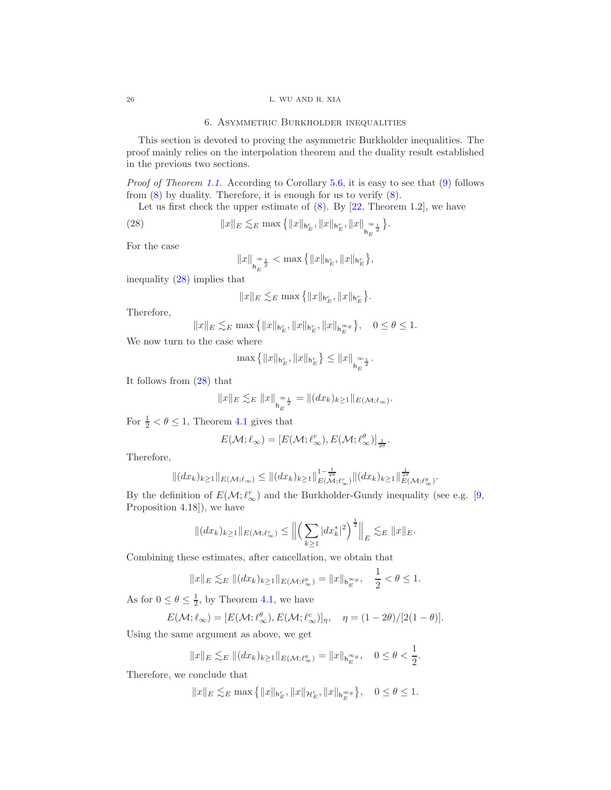## 6. Asymmetric Burkholder inequalities

<span id="page-25-0"></span>This section is devoted to proving the asymmetric Burkholder inequalities. The proof mainly relies on the interpolation theorem and the duality result established in the previous two sections.

*Proof of Theorem [1.1.](#page-2-0)* According to Corollary [5.6,](#page-24-0) it is easy to see that [\(9\)](#page-2-2) follows from  $(8)$  by duality. Therefore, it is enough for us to verify  $(8)$ .

Let us first check the upper estimate of  $(8)$ . By  $[22,$  Theorem 1.2, we have

(28) 
$$
||x||_E \lesssim_E \max\left\{||x||_{\mathsf{h}_E^c}, ||x||_{\mathsf{h}_E^r}, ||x||_{\mathsf{h}_E^{\infty}}\right\}.
$$

For the case

<span id="page-25-1"></span>
$$
\|x\|_{\mathbf{h}_E^{\infty\frac{1}{2}}} < \max\big\{\|x\|_{\mathbf{h}_E^c},\|x\|_{\mathbf{h}_E^r}\big\},
$$

inequality [\(28\)](#page-25-1) implies that

$$
\|x\|_E\lesssim_E \max\left\{\|x\|_{\mathsf{h}_E^c},\|x\|_{\mathsf{h}_E^r}\right\}.
$$

Therefore,

$$
||x||_E\lesssim_E \max\left\{||x||_{\mathsf{h}_E^c}, ||x||_{\mathsf{h}_E^r}, ||x||_{\mathsf{h}_E^{\infty_\theta}}\right\}, \quad 0\leq \theta\leq 1.
$$

We now turn to the case where

$$
\max\left\{\|x\|_{\mathbf{h}_E^c},\|x\|_{\mathbf{h}_E^r}\right\}\leq\|x\|_{\mathbf{h}_E^{\infty\frac{1}{2}}}.
$$

It follows from [\(28\)](#page-25-1) that

$$
||x||_E \lesssim_E ||x||_{h_E^{\infty}} = ||(dx_k)_{k \ge 1}||_{E(\mathcal{M}; \ell_{\infty})}.
$$

For  $\frac{1}{2} < \theta \leq 1$ , Theorem [4.1](#page-15-2) gives that

$$
E(\mathcal{M}; \ell_{\infty}) = [E(\mathcal{M}; \ell_{\infty}^r), E(\mathcal{M}; \ell_{\infty}^{\theta})]_{\frac{1}{2\theta}}.
$$

Therefore,

$$
||(dx_k)_{k\geq 1}||_{E(\mathcal{M};\ell_{\infty})} \leq ||(dx_k)_{k\geq 1}||_{E(\mathcal{M};\ell_{\infty}^r)}^{1-\frac{1}{2\theta}}||(dx_k)_{k\geq 1}||_{E(\mathcal{M};\ell_{\infty}^{\theta})}^{1-\frac{1}{2\theta}}.
$$

By the definition of  $E(\mathcal{M}; \ell_{\infty}^{r})$  and the Burkholder-Gundy inequality (see e.g. [\[9,](#page-28-10) Proposition 4.18]), we have

$$
|| (dx_k)_{k \ge 1} ||_{E(\mathcal{M}; \ell_{\infty}^r)} \le || \left( \sum_{k \ge 1} |dx_k^*|^2 \right)^{\frac{1}{2}} ||_E \lesssim_E ||x||_E.
$$

Combining these estimates, after cancellation, we obtain that

$$
||x||_E \lesssim_E ||(dx_k)_{k\geq 1}||_{E(\mathcal{M};\ell_\infty^\theta)} = ||x||_{\mathsf{h}_E^{\infty_\theta}}, \quad \frac{1}{2} < \theta \leq 1.
$$

As for  $0 \le \theta \le \frac{1}{2}$ , by Theorem [4.1,](#page-15-2) we have

$$
E(\mathcal{M}; \ell_{\infty}) = [E(\mathcal{M}; \ell_{\infty}^{\theta}), E(\mathcal{M}; \ell_{\infty}^{c})]_{\eta}, \quad \eta = (1 - 2\theta)/[2(1 - \theta)].
$$

Using the same argument as above, we get

$$
||x||_E \lesssim_E ||(dx_k)_{k\geq 1}||_{E(\mathcal{M}; \ell_\infty^\theta)} = ||x||_{\mathsf{h}_E^{\infty_\theta}}, \quad 0 \leq \theta < \frac{1}{2}.
$$

Therefore, we conclude that

$$
\|x\|_E\lesssim_E \max\left\{\|x\|_{{\rm h}_E^c},\|x\|_{\mathcal{H}_E^r},\|x\|_{{\rm h}_E^{\infty_\theta}}\right\},\quad 0\leq\theta\leq 1.
$$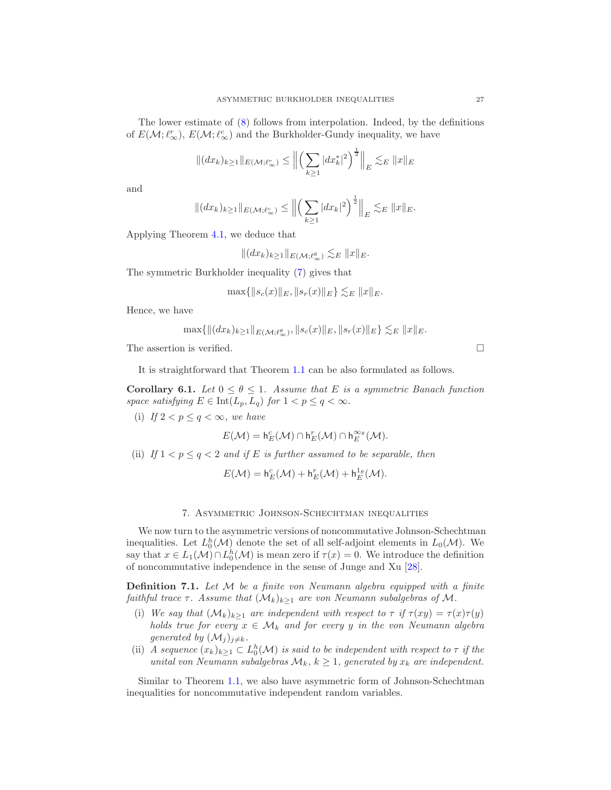The lower estimate of [\(8\)](#page-2-1) follows from interpolation. Indeed, by the definitions of  $E(\mathcal{M}; \ell_{\infty}^r)$ ,  $E(\mathcal{M}; \ell_{\infty}^c)$  and the Burkholder-Gundy inequality, we have

$$
|| (dx_k)_{k \ge 1} ||_{E(\mathcal{M}; \ell_{\infty}^r)} \le || \left( \sum_{k \ge 1} |dx_k^*|^2 \right)^{\frac{1}{2}} ||_E \lesssim_E ||x||_E
$$

and

$$
||(dx_k)_{k\geq 1}||_{E(\mathcal{M};\ell_{\infty}^c)} \leq ||\left(\sum_{k\geq 1}|dx_k|^2\right)^{\frac{1}{2}}||_E \lesssim_E ||x||_E.
$$

Applying Theorem [4.1,](#page-15-2) we deduce that

$$
|| (dx_k)_{k \geq 1} ||_{E(\mathcal{M}; \ell^{\theta}_{\infty})} \lesssim_E ||x||_E.
$$

The symmetric Burkholder inequality [\(7\)](#page-1-2) gives that

$$
\max\{\|s_c(x)\|_E, \|s_r(x)\|_E\} \lesssim_E \|x\|_E.
$$

Hence, we have

$$
\max\{\|(dx_k)_{k\geq 1}\|_{E(\mathcal{M};\ell^{\theta}_{\infty})},\|s_c(x)\|_E,\|s_r(x)\|_E\}\lesssim_E \|x\|_E.
$$

The assertion is verified.  $\Box$ 

It is straightforward that Theorem [1.1](#page-2-0) can be also formulated as follows.

Corollary 6.1. *Let*  $0 \le \theta \le 1$ *. Assume that E is a symmetric Banach function space satisfying*  $E \in \text{Int}(L_p, L_q)$  *for*  $1 < p \le q < \infty$ *.* 

(i) If  $2 < p \leq q < \infty$ , we have

$$
E(\mathcal{M}) = \mathsf{h}_E^c(\mathcal{M}) \cap \mathsf{h}_E^r(\mathcal{M}) \cap \mathsf{h}_E^{\infty_{\theta}}(\mathcal{M}).
$$

(ii) If  $1 < p \le q < 2$  and if E is further assumed to be separable, then

$$
E(\mathcal{M}) = \mathsf{h}_E^c(\mathcal{M}) + \mathsf{h}_E^r(\mathcal{M}) + \mathsf{h}_E^{1_\theta}(\mathcal{M}).
$$

## 7. Asymmetric Johnson-Schechtman inequalities

We now turn to the asymmetric versions of noncommutative Johnson-Schechtman inequalities. Let  $L_0^h(\mathcal{M})$  denote the set of all self-adjoint elements in  $L_0(\mathcal{M})$ . We say that  $x \in L_1(\mathcal{M}) \cap L_0^h(\mathcal{M})$  is mean zero if  $\tau(x) = 0$ . We introduce the definition of noncommutative independence in the sense of Junge and Xu [\[28\]](#page-29-4).

Definition 7.1. *Let* M *be a finite von Neumann algebra equipped with a finite faithful trace*  $\tau$ *. Assume that*  $(\mathcal{M}_k)_{k\geq 1}$  *are von Neumann subalgebras of*  $\mathcal{M}$ *.* 

- (i) We say that  $(M_k)_{k>1}$  are independent with respect to  $\tau$  if  $\tau(xy) = \tau(x)\tau(y)$ *holds true for every*  $x \in M_k$  *and for every* y *in the von Neumann algebra generated by*  $(\mathcal{M}_j)_{j \neq k}$ .
- (ii) *A sequence*  $(x_k)_{k\geq 1} \subset L_0^h(\mathcal{M})$  *is said to be independent with respect to*  $\tau$  *if the unital von Neumann subalgebras*  $\mathcal{M}_k$ ,  $k \geq 1$ , generated by  $x_k$  are independent.

Similar to Theorem [1.1,](#page-2-0) we also have asymmetric form of Johnson-Schechtman inequalities for noncommutative independent random variables.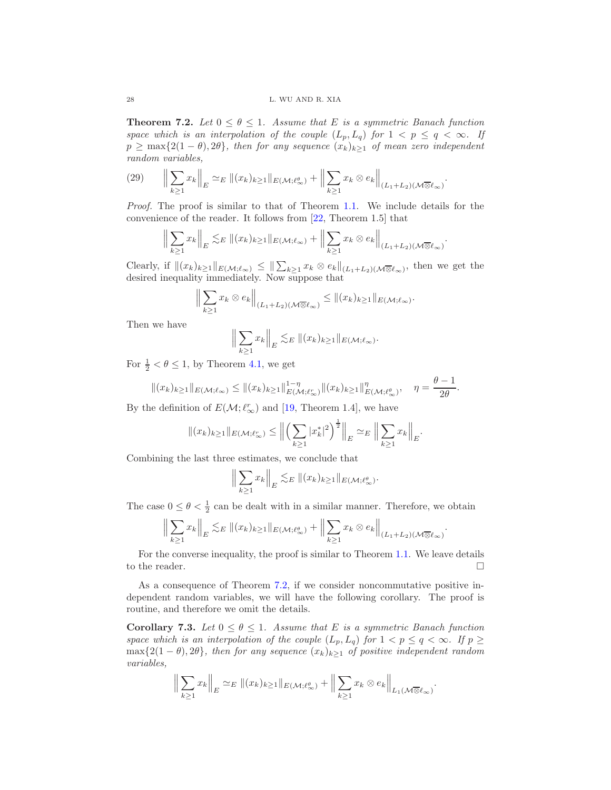<span id="page-27-0"></span>**Theorem 7.2.** Let  $0 \le \theta \le 1$ . Assume that E is a symmetric Banach function *space which is an interpolation of the couple*  $(L_p, L_q)$  *for*  $1 < p \le q < \infty$ *. If*  $p \geq \max\{2(1-\theta), 2\theta\}$ , then for any sequence  $(x_k)_{k\geq 1}$  of mean zero independent *random variables,*

.

.

$$
(29) \qquad \left\| \sum_{k\geq 1} x_k \right\|_E \simeq_E \|(x_k)_{k\geq 1} \|_{E(\mathcal{M}; \ell_\infty^\theta)} + \left\| \sum_{k\geq 1} x_k \otimes e_k \right\|_{(L_1 + L_2)(\mathcal{M}\overline{\otimes} \ell_\infty)}
$$

*Proof.* The proof is similar to that of Theorem [1.1.](#page-2-0) We include details for the convenience of the reader. It follows from [\[22,](#page-29-13) Theorem 1.5] that

$$
\Big\|\sum_{k\geq 1}x_k\Big\|_E\lesssim_E \|(x_k)_{k\geq 1}\|_{E(\mathcal{M};\ell_\infty)}+\Big\|\sum_{k\geq 1}x_k\otimes e_k\Big\|_{(L_1+L_2)(\mathcal{M}\overline{\otimes}\ell_\infty)}
$$

Clearly, if  $\|(x_k)_{k\geq 1}\|_{E(\mathcal{M};\ell_\infty)} \leq \|\sum_{k\geq 1} x_k \otimes e_k\|_{(L_1+L_2)(\mathcal{M}\overline{\otimes} \ell_\infty)},$  then we get the desired inequality immediately. Now suppose that

$$
\Big\|\sum_{k\geq 1}x_k\otimes e_k\Big\|_{(L_1+L_2)(\mathcal{M}\overline{\otimes} \ell_\infty)}\leq \|(x_k)_{k\geq 1}\|_{E(\mathcal{M};\ell_\infty)}.
$$

Then we have

$$
\Big\|\sum_{k\geq 1}x_k\Big\|_E\lesssim_E \|(x_k)_{k\geq 1}\|_{E(\mathcal{M};\ell_{\infty})}.
$$

For  $\frac{1}{2} < \theta \leq 1$ , by Theorem [4.1,](#page-15-2) we get

$$
||(x_k)_{k\geq 1}||_{E(\mathcal{M};\ell_{\infty})} \leq ||(x_k)_{k\geq 1}||_{E(\mathcal{M};\ell_{\infty}^r)}^{1-\eta}||(x_k)_{k\geq 1}||_{E(\mathcal{M};\ell_{\infty}^{\theta})}^{\eta}, \quad \eta = \frac{\theta-1}{2\theta}.
$$

By the definition of  $E(\mathcal{M}; \ell_{\infty}^{r})$  and [\[19,](#page-28-12) Theorem 1.4], we have

$$
\|(x_k)_{k\geq 1}\|_{E(\mathcal{M};\ell_\infty^r)} \leq \Big\|\Big(\sum_{k\geq 1}|x_k^*|^2\Big)^{\frac{1}{2}}\Big\|_E \simeq_E \Big\|\sum_{k\geq 1}x_k\Big\|_E.
$$

Combining the last three estimates, we conclude that

$$
\Big\|\sum_{k\geq 1}x_k\Big\|_E\lesssim_E \|(x_k)_{k\geq 1}\|_{E(\mathcal{M};\ell_\infty^\theta)}.
$$

The case  $0 \leq \theta < \frac{1}{2}$  can be dealt with in a similar manner. Therefore, we obtain

$$
\Big\|\sum_{k\geq 1}x_k\Big\|_E\lesssim_E \|(x_k)_{k\geq 1}\|_{E(\mathcal M; \ell_\infty^\theta)}+\Big\|\sum_{k\geq 1}x_k\otimes e_k\Big\|_{(L_1+L_2)(\mathcal M\overline{\otimes} \ell_\infty)}.
$$

For the converse inequality, the proof is similar to Theorem [1.1.](#page-2-0) We leave details to the reader.  $\Box$ 

As a consequence of Theorem [7.2,](#page-27-0) if we consider noncommutative positive independent random variables, we will have the following corollary. The proof is routine, and therefore we omit the details.

**Corollary 7.3.** *Let*  $0 \le \theta \le 1$ *. Assume that* E *is a symmetric Banach function space which is an interpolation of the couple*  $(L_p, L_q)$  *for*  $1 < p \le q < \infty$ *. If*  $p \ge$  $\max\{2(1-\theta), 2\theta\}$ *, then for any sequence*  $(x_k)_{k\geq 1}$  *of positive independent random variables,*

$$
\Big\|\sum_{k\geq 1}x_k\Big\|_E \simeq_E \|(x_k)_{k\geq 1}\|_{E(\mathcal{M};\ell_\infty^\theta)} + \Big\|\sum_{k\geq 1}x_k\otimes e_k\Big\|_{L_1(\mathcal{M}\overline{\otimes} \ell_\infty)}.
$$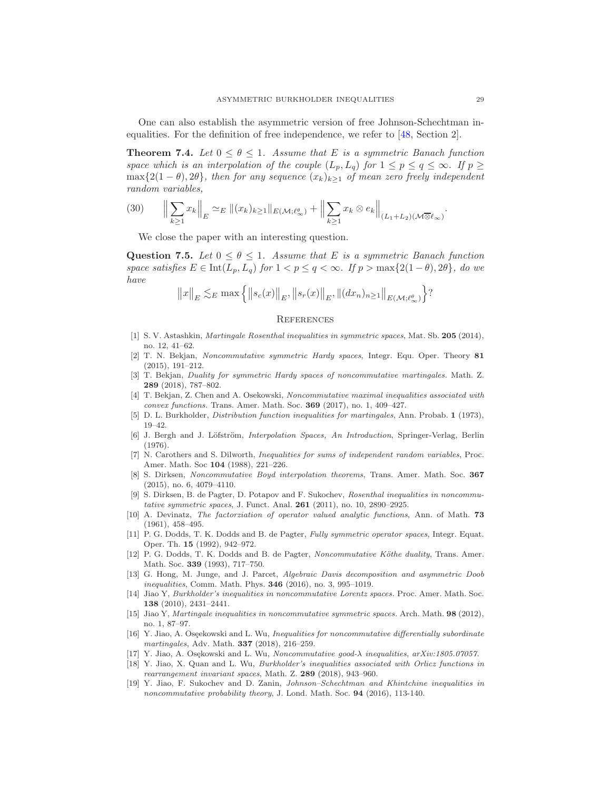One can also establish the asymmetric version of free Johnson-Schechtman inequalities. For the definition of free independence, we refer to [\[48,](#page-29-16) Section 2].

**Theorem 7.4.** *Let*  $0 \le \theta \le 1$ *. Assume that E is a symmetric Banach function space which is an interpolation of the couple*  $(L_p, L_q)$  *for*  $1 \leq p \leq q \leq \infty$ *. If*  $p \geq$  $\max\{2(1-\theta), 2\theta\}$ *, then for any sequence*  $(x_k)_{k\geq 1}$  *of mean zero freely independent random variables,*

$$
(30) \qquad \Big\|\sum_{k\geq 1} x_k\Big\|_E \simeq_E \|(x_k)_{k\geq 1}\|_{E(\mathcal{M};\ell_\infty^\theta)} + \Big\|\sum_{k\geq 1} x_k \otimes e_k\Big\|_{(L_1+L_2)(\mathcal{M}\overline{\otimes} \ell_\infty)}.
$$

We close the paper with an interesting question.

Question 7.5. Let  $0 \le \theta \le 1$ . Assume that E is a symmetric Banach function *space satisfies*  $E \in Int(L_p, L_q)$  *for*  $1 < p ≤ q < ∞$ *. If*  $p > max\{2(1 - \theta), 2\theta\}$ *, do we have*

$$
||x||_E \lesssim_E \max \{ ||s_c(x)||_E, ||s_r(x)||_E, ||(dx_n)_{n \ge 1}||_{E(\mathcal{M}; \ell^{\theta}_{\infty})} \}
$$
?

#### **REFERENCES**

- <span id="page-28-1"></span>[1] S. V. Astashkin, Martingale Rosenthal inequalities in symmetric spaces, Mat. Sb. 205 (2014), no. 12, 41–62.
- <span id="page-28-14"></span>[2] T. N. Bekjan, Noncommutative symmetric Hardy spaces, Integr. Equ. Oper. Theory 81 (2015), 191–212.
- <span id="page-28-15"></span>[3] T. Bekjan, Duality for symmetric Hardy spaces of noncommutative martingales. Math. Z. 289 (2018), 787–802.
- <span id="page-28-6"></span>[4] T. Bekjan, Z. Chen and A. Osekowski, Noncommutative maximal inequalities associated with convex functions. Trans. Amer. Math. Soc. **369** (2017), no. 1, 409-427.
- <span id="page-28-16"></span><span id="page-28-0"></span>[5] D. L. Burkholder, Distribution function inequalities for martingales, Ann. Probab. 1 (1973), 19–42.
- [6] J. Bergh and J. Löfström, *Interpolation Spaces*, An Introduction, Springer-Verlag, Berlin (1976).
- <span id="page-28-2"></span>[7] N. Carothers and S. Dilworth, Inequalities for sums of independent random variables, Proc. Amer. Math. Soc 104 (1988), 221–226.
- <span id="page-28-7"></span>[8] S. Dirksen, Noncommutative Boyd interpolation theorems, Trans. Amer. Math. Soc. 367 (2015), no. 6, 4079–4110.
- <span id="page-28-10"></span>[9] S. Dirksen, B. de Pagter, D. Potapov and F. Sukochev, Rosenthal inequalities in noncommutative symmetric spaces, J. Funct. Anal. 261 (2011), no. 10, 2890–2925.
- <span id="page-28-18"></span>[10] A. Devinatz, The factorziation of operator valued analytic functions, Ann. of Math. 73 (1961), 458–495.
- <span id="page-28-17"></span>[11] P. G. Dodds, T. K. Dodds and B. de Pagter, Fully symmetric operator spaces, Integr. Equat. Oper. Th. 15 (1992), 942–972.
- <span id="page-28-13"></span>[12] P. G. Dodds, T. K. Dodds and B. de Pagter, Noncommutative Köthe duality, Trans. Amer. Math. Soc. 339 (1993), 717–750.
- <span id="page-28-4"></span>[13] G. Hong, M. Junge, and J. Parcet, Algebraic Davis decomposition and asymmetric Doob inequalities, Comm. Math. Phys. **346** (2016), no. 3, 995–1019.
- <span id="page-28-8"></span>[14] Jiao Y, Burkholder's inequalities in noncommutative Lorentz spaces. Proc. Amer. Math. Soc. 138 (2010), 2431–2441.
- <span id="page-28-9"></span>[15] Jiao Y, Martingale inequalities in noncommutative symmetric spaces. Arch. Math. 98 (2012), no. 1, 87–97.
- <span id="page-28-5"></span>[16] Y. Jiao, A. Oseekowski and L. Wu, *Inequalities for noncommutative differentially subordinate* martingales, Adv. Math. 337 (2018), 216–259.
- <span id="page-28-11"></span><span id="page-28-3"></span>[17] Y. Jiao, A. Osękowski and L. Wu, Noncommutative good- $\lambda$  inequalities, arXiv:1805.07057.
- [18] Y. Jiao, X. Quan and L. Wu, Burkholder's inequalities associated with Orlicz functions in rearrangement invariant spaces, Math. Z. 289 (2018), 943-960.
- <span id="page-28-12"></span>[19] Y. Jiao, F. Sukochev and D. Zanin, Johnson–Schechtman and Khintchine inequalities in noncommutative probability theory, J. Lond. Math. Soc. 94 (2016), 113-140.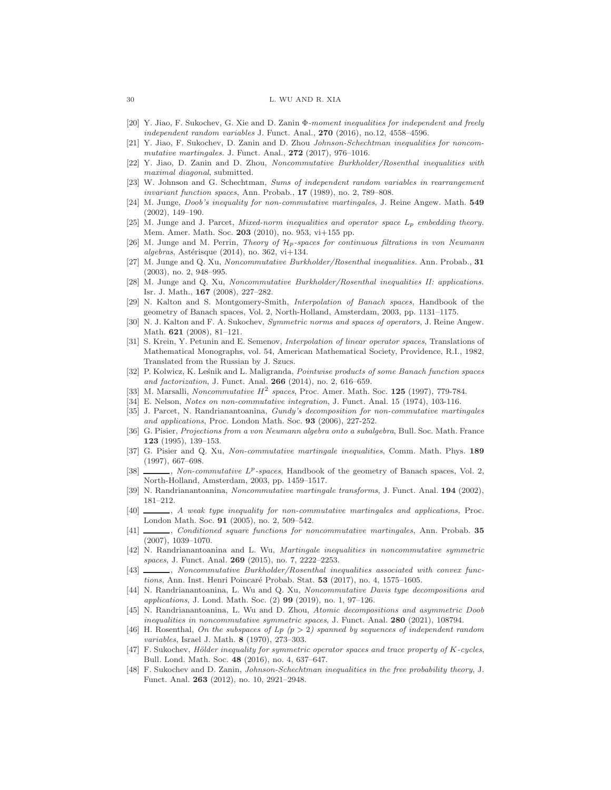#### 30 L. WU AND R. XIA

- <span id="page-29-9"></span>[20] Y. Jiao, F. Sukochev, G. Xie and D. Zanin Φ-moment inequalities for independent and freely independent random variables J. Funct. Anal., 270 (2016), no.12, 4558-4596.
- [21] Y. Jiao, F. Sukochev, D. Zanin and D. Zhou Johnson-Schechtman inequalities for noncommutative martingales. J. Funct. Anal.,  $272$  (2017), 976-1016.
- <span id="page-29-13"></span>[22] Y. Jiao, D. Zanin and D. Zhou, Noncommutative Burkholder/Rosenthal inequalities with maximal diagonal, submitted.
- <span id="page-29-15"></span>[23] W. Johnson and G. Schechtman, Sums of independent random variables in rearrangement invariant function spaces, Ann. Probab., 17 (1989), no. 2, 789–808.
- <span id="page-29-2"></span>[24] M. Junge, Doob's inequality for non-commutative martingales, J. Reine Angew. Math. 549 (2002), 149–190.
- <span id="page-29-26"></span>[25] M. Junge and J. Parcet, Mixed-norm inequalities and operator space  $L_p$  embedding theory. Mem. Amer. Math. Soc. 203 (2010), no. 953, vi+155 pp.
- <span id="page-29-27"></span>[26] M. Junge and M. Perrin, Theory of  $\mathcal{H}_p$ -spaces for continuous filtrations in von Neumann  $algebras$ , Astérisque (2014), no. 362, vi $+134$ .
- <span id="page-29-3"></span>[27] M. Junge and Q. Xu, Noncommutative Burkholder/Rosenthal inequalities. Ann. Probab., 31 (2003), no. 2, 948–995.
- <span id="page-29-4"></span>[28] M. Junge and Q. Xu, Noncommutative Burkholder/Rosenthal inequalities II: applications. Isr. J. Math., 167 (2008), 227–282.
- <span id="page-29-24"></span>[29] N. Kalton and S. Montgomery-Smith, Interpolation of Banach spaces, Handbook of the geometry of Banach spaces, Vol. 2, North-Holland, Amsterdam, 2003, pp. 1131–1175.
- <span id="page-29-20"></span>[30] N. J. Kalton and F. A. Sukochev, Symmetric norms and spaces of operators, J. Reine Angew. Math. 621 (2008), 81–121.
- <span id="page-29-21"></span>[31] S. Krein, Y. Petunin and E. Semenov, Interpolation of linear operator spaces, Translations of Mathematical Monographs, vol. 54, American Mathematical Society, Providence, R.I., 1982, Translated from the Russian by J. Szucs.
- <span id="page-29-22"></span>[32] P. Kolwicz, K. Leśnik and L. Maligranda, Pointwise products of some Banach function spaces and factorization, J. Funct. Anal. 266 (2014), no. 2, 616–659.
- <span id="page-29-25"></span><span id="page-29-18"></span>[33] M. Marsalli, Noncommutative  $H^2$  spaces, Proc. Amer. Math. Soc. 125 (1997), 779-784.
- <span id="page-29-5"></span>[34] E. Nelson, Notes on non-commutative integration, J. Funct. Anal. 15 (1974), 103-116.
- [35] J. Parcet, N. Randrianantoanina, Gundy's decomposition for non-commutative martingales and applications, Proc. London Math. Soc. 93 (2006), 227-252.
- [36] G. Pisier, Projections from a von Neumann algebra onto a subalgebra, Bull. Soc. Math. France 123 (1995), 139–153.
- <span id="page-29-1"></span>[37] G. Pisier and Q. Xu, Non-commutative martingale inequalities, Comm. Math. Phys. 189 (1997), 667–698.
- <span id="page-29-19"></span>[38]  $\_\_\_\_\_\_\_\_\$  Non-commutative  $L^p$ -spaces, Handbook of the geometry of Banach spaces, Vol. 2, North-Holland, Amsterdam, 2003, pp. 1459–1517.
- <span id="page-29-7"></span><span id="page-29-6"></span>[39] N. Randrianantoanina, Noncommutative martingale transforms, J. Funct. Anal. 194 (2002), 181–212.
- [40]  $\qquad \qquad$ , A weak type inequality for non-commutative martingales and applications, Proc. London Math. Soc. 91 (2005), no. 2, 509–542.
- <span id="page-29-8"></span>[41] Conditioned square functions for noncommutative martingales, Ann. Probab. 35 (2007), 1039–1070.
- <span id="page-29-10"></span>[42] N. Randrianantoanina and L. Wu, Martingale inequalities in noncommutative symmetric spaces, J. Funct. Anal. **269** (2015), no. 7, 2222-2253.
- <span id="page-29-11"></span>[43]  $\qquad \qquad$ , Noncommutative Burkholder/Rosenthal inequalities associated with convex functions, Ann. Inst. Henri Poincaré Probab. Stat.  $53$  (2017), no. 4, 1575–1605.
- <span id="page-29-12"></span>[44] N. Randrianantoanina, L. Wu and Q. Xu, Noncommutative Davis type decompositions and applications, J. Lond. Math. Soc. (2) 99 (2019), no. 1, 97–126.
- <span id="page-29-14"></span>[45] N. Randrianantoanina, L. Wu and D. Zhou, Atomic decompositions and asymmetric Doob inequalities in noncommutative symmetric spaces, J. Funct. Anal. 280 (2021), 108794.
- <span id="page-29-0"></span>[46] H. Rosenthal, On the subspaces of  $L_p$  (p > 2) spanned by sequences of independent random variables, Israel J. Math. 8 (1970), 273–303.
- <span id="page-29-23"></span> $[47]$  F. Sukochev, Hölder inequality for symmetric operator spaces and trace property of K-cycles, Bull. Lond. Math. Soc. 48 (2016), no. 4, 637–647.
- <span id="page-29-16"></span>[48] F. Sukochev and D. Zanin, Johnson-Schechtman inequalities in the free probability theory, J. Funct. Anal. 263 (2012), no. 10, 2921–2948.

<span id="page-29-17"></span>